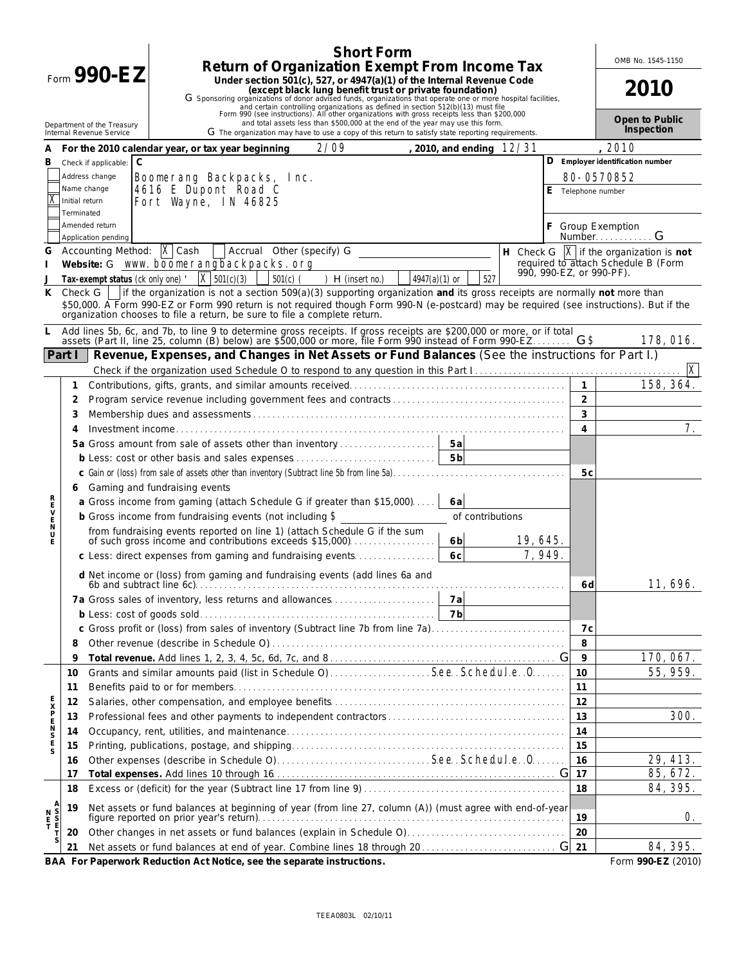|                              | <b>Short Form</b>                                                                                                                                                                                                                                                                                                                                                                                                                                                                                       |                          | OMB No. 1545-1150                                         |
|------------------------------|---------------------------------------------------------------------------------------------------------------------------------------------------------------------------------------------------------------------------------------------------------------------------------------------------------------------------------------------------------------------------------------------------------------------------------------------------------------------------------------------------------|--------------------------|-----------------------------------------------------------|
|                              | Return of Organization Exempt From Income Tax<br>Form $990 - EZ$<br>Under section 501(c), 527, or 4947(a)(1) of the Internal Revenue Code<br>(except black lung benefit trust or private foundation)<br>G Sponsoring organizations of donor advised funds, organizations that operate one or more hospital facilities,<br>and certain controlling organizations as defined in section 512(b)(13) must file Form 990 (see instructions). All other organizations with gross receipts less than \$200,000 |                          | 2010                                                      |
|                              | and total assets less than \$500,000 at the end of the year may use this form.<br>Department of the Treasury<br>G The organization may have to use a copy of this return to satisfy state reporting requirements.<br>Internal Revenue Service                                                                                                                                                                                                                                                           |                          | Open to Public<br>Inspection                              |
| A                            | 2/09<br>, 2010, and ending $12/31$<br>For the 2010 calendar year, or tax year beginning                                                                                                                                                                                                                                                                                                                                                                                                                 |                          | 2010                                                      |
| В                            | $\mathsf{C}$<br>Check if applicable:                                                                                                                                                                                                                                                                                                                                                                                                                                                                    |                          | D Employer identification number                          |
|                              | Address change<br><b>Boonerang Backpacks, Inc.</b>                                                                                                                                                                                                                                                                                                                                                                                                                                                      |                          | 80-0570852                                                |
|                              | 4616 E Dupont Road C<br>Name change<br>Fort Wayne, IN 46825<br>Initial return<br>Terminated                                                                                                                                                                                                                                                                                                                                                                                                             | E Telephone number       |                                                           |
|                              | Amended return<br>Application pending                                                                                                                                                                                                                                                                                                                                                                                                                                                                   |                          | <b>Group Exemption</b><br>NumberG                         |
| G                            | Accounting Method: $\overline{\mathbf{X}}$ Cash<br>Accrual Other (specify) G                                                                                                                                                                                                                                                                                                                                                                                                                            |                          | H Check G $\boxed{\mathbf{X}}$ if the organization is not |
|                              | Website: G www.boonerangbackpacks.org                                                                                                                                                                                                                                                                                                                                                                                                                                                                   | 990, 990-EZ, or 990-PF). | required to attach Schedule B (Form                       |
|                              | $\bar{x}$ 501(c)(3)<br>527<br>Tax-exempt status (ck only one)<br>$501(c)$ (<br>$H$ (insert no.)<br>$4947(a)(1)$ or                                                                                                                                                                                                                                                                                                                                                                                      |                          |                                                           |
| K                            | If the organization is not a section $509(a)(3)$ supporting organization and its gross receipts are normally not more than<br>Check G<br>\$50,000. A Form 990-EZ or Form 990 return is not required though Form 990-N (e-postcard) may be required (see instructions). But if the<br>organization chooses to file a return, be sure to file a complete return.                                                                                                                                          |                          |                                                           |
|                              | Add lines 5b, 6c, and 7b, to line 9 to determine gross receipts. If gross receipts are \$200,000 or more, or if total assets (Part II, line 25, column (B) below) are \$500,000 or more, file Form 990 instead of Form 990-EZ                                                                                                                                                                                                                                                                           |                          | 178, 016.                                                 |
|                              | Revenue, Expenses, and Changes in Net Assets or Fund Balances (See the instructions for Part I.)<br>Part I                                                                                                                                                                                                                                                                                                                                                                                              |                          |                                                           |
|                              |                                                                                                                                                                                                                                                                                                                                                                                                                                                                                                         |                          | X                                                         |
|                              | 1                                                                                                                                                                                                                                                                                                                                                                                                                                                                                                       |                          | 158, 364.                                                 |
|                              | 2                                                                                                                                                                                                                                                                                                                                                                                                                                                                                                       | $\overline{2}$           |                                                           |
|                              | 3                                                                                                                                                                                                                                                                                                                                                                                                                                                                                                       | 3                        | 7.                                                        |
|                              | 4                                                                                                                                                                                                                                                                                                                                                                                                                                                                                                       | 4                        |                                                           |
|                              | 5a Gross amount from sale of assets other than inventory<br>5a<br>5 <sub>b</sub>                                                                                                                                                                                                                                                                                                                                                                                                                        |                          |                                                           |
|                              | b Less: cost or other basis and sales expenses                                                                                                                                                                                                                                                                                                                                                                                                                                                          |                          |                                                           |
|                              | c Gain or (loss) from sale of assets other than inventory (Subtract line 5b from line 5a).                                                                                                                                                                                                                                                                                                                                                                                                              | 5c                       |                                                           |
|                              | Gaming and fundraising events<br>6                                                                                                                                                                                                                                                                                                                                                                                                                                                                      |                          |                                                           |
|                              | a Gross income from gaming (attach Schedule G if greater than \$15,000)<br>6 a<br>b Gross income from fundraising events (not including $\boldsymbol{\$}$<br>of contributions                                                                                                                                                                                                                                                                                                                           |                          |                                                           |
| ロファーク                        |                                                                                                                                                                                                                                                                                                                                                                                                                                                                                                         |                          |                                                           |
|                              | 19, 645.<br>6 <sub>b</sub>                                                                                                                                                                                                                                                                                                                                                                                                                                                                              |                          |                                                           |
|                              | 7, 949.<br>6 <sub>C</sub><br>c Less: direct expenses from gaming and fundraising events                                                                                                                                                                                                                                                                                                                                                                                                                 |                          |                                                           |
|                              | d Net income or (loss) from gaming and fundraising events (add lines 6a and                                                                                                                                                                                                                                                                                                                                                                                                                             |                          |                                                           |
|                              |                                                                                                                                                                                                                                                                                                                                                                                                                                                                                                         | 6 d                      | 11, 696.                                                  |
|                              |                                                                                                                                                                                                                                                                                                                                                                                                                                                                                                         |                          |                                                           |
|                              |                                                                                                                                                                                                                                                                                                                                                                                                                                                                                                         |                          |                                                           |
|                              | c Gross profit or (loss) from sales of inventory (Subtract line 7b from line 7a)                                                                                                                                                                                                                                                                                                                                                                                                                        | 7c                       |                                                           |
|                              | 8                                                                                                                                                                                                                                                                                                                                                                                                                                                                                                       | 8                        |                                                           |
|                              | 9                                                                                                                                                                                                                                                                                                                                                                                                                                                                                                       | 9                        | 170, 067.                                                 |
|                              | Grants and similar amounts paid (list in Schedule O)  See. Schedule. 0.<br>10                                                                                                                                                                                                                                                                                                                                                                                                                           | 10                       | 55, 959.                                                  |
|                              | 11                                                                                                                                                                                                                                                                                                                                                                                                                                                                                                      | 11                       |                                                           |
|                              | 12                                                                                                                                                                                                                                                                                                                                                                                                                                                                                                      | 12                       |                                                           |
| EXPENSE                      | 13                                                                                                                                                                                                                                                                                                                                                                                                                                                                                                      | 13                       | <b>300.</b>                                               |
|                              | 14                                                                                                                                                                                                                                                                                                                                                                                                                                                                                                      | 14                       |                                                           |
| S                            | 15                                                                                                                                                                                                                                                                                                                                                                                                                                                                                                      | 15                       |                                                           |
|                              | 16                                                                                                                                                                                                                                                                                                                                                                                                                                                                                                      | 16                       | 29, 413.                                                  |
|                              | 17                                                                                                                                                                                                                                                                                                                                                                                                                                                                                                      | 17                       | 85, 672.                                                  |
|                              | 18                                                                                                                                                                                                                                                                                                                                                                                                                                                                                                      | 18                       | 84, 395.                                                  |
| Ν                            | Net assets or fund balances at beginning of year (from line 27, column (A)) (must agree with end-of-year<br>19                                                                                                                                                                                                                                                                                                                                                                                          |                          |                                                           |
| S<br>E<br>E<br>$\frac{E}{T}$ |                                                                                                                                                                                                                                                                                                                                                                                                                                                                                                         | 19                       | 0.                                                        |
|                              | Other changes in net assets or fund balances (explain in Schedule O)<br>20                                                                                                                                                                                                                                                                                                                                                                                                                              | 20                       |                                                           |
|                              | 21                                                                                                                                                                                                                                                                                                                                                                                                                                                                                                      |                          | 84, 395.                                                  |
|                              | BAA For Paperwork Reduction Act Notice, see the separate instructions.                                                                                                                                                                                                                                                                                                                                                                                                                                  |                          | Form 990-EZ (2010)                                        |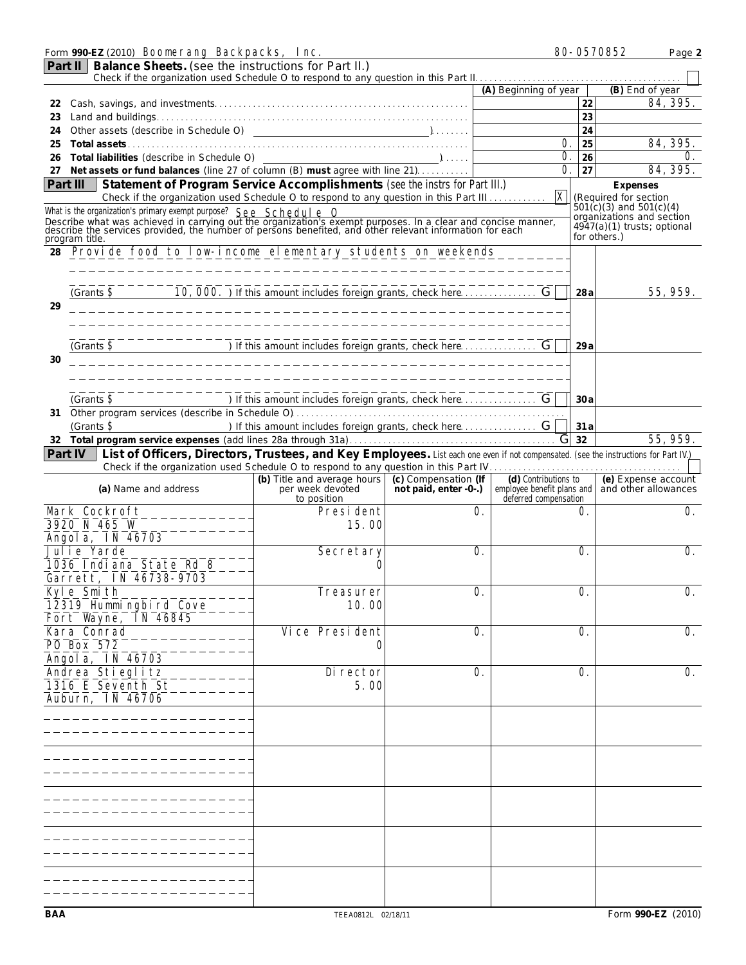|                                                                                                                                                                                                                                                                                                                                                                                                                                                                                                                                                                                                                                                                                                                                                                                                                                                                                                                                                                                                                                                                                                                                                                                                                                                                                                                                                                                                                                                                                                                                                                                                                                                                                                                                                                                                                                                                                                                                                                                                                                                                                                                                                                                                                                                                                                                                       |  |          |  | Page 2                    |
|---------------------------------------------------------------------------------------------------------------------------------------------------------------------------------------------------------------------------------------------------------------------------------------------------------------------------------------------------------------------------------------------------------------------------------------------------------------------------------------------------------------------------------------------------------------------------------------------------------------------------------------------------------------------------------------------------------------------------------------------------------------------------------------------------------------------------------------------------------------------------------------------------------------------------------------------------------------------------------------------------------------------------------------------------------------------------------------------------------------------------------------------------------------------------------------------------------------------------------------------------------------------------------------------------------------------------------------------------------------------------------------------------------------------------------------------------------------------------------------------------------------------------------------------------------------------------------------------------------------------------------------------------------------------------------------------------------------------------------------------------------------------------------------------------------------------------------------------------------------------------------------------------------------------------------------------------------------------------------------------------------------------------------------------------------------------------------------------------------------------------------------------------------------------------------------------------------------------------------------------------------------------------------------------------------------------------------------|--|----------|--|---------------------------|
| Part II                                                                                                                                                                                                                                                                                                                                                                                                                                                                                                                                                                                                                                                                                                                                                                                                                                                                                                                                                                                                                                                                                                                                                                                                                                                                                                                                                                                                                                                                                                                                                                                                                                                                                                                                                                                                                                                                                                                                                                                                                                                                                                                                                                                                                                                                                                                               |  |          |  |                           |
|                                                                                                                                                                                                                                                                                                                                                                                                                                                                                                                                                                                                                                                                                                                                                                                                                                                                                                                                                                                                                                                                                                                                                                                                                                                                                                                                                                                                                                                                                                                                                                                                                                                                                                                                                                                                                                                                                                                                                                                                                                                                                                                                                                                                                                                                                                                                       |  |          |  | (B) End of year           |
|                                                                                                                                                                                                                                                                                                                                                                                                                                                                                                                                                                                                                                                                                                                                                                                                                                                                                                                                                                                                                                                                                                                                                                                                                                                                                                                                                                                                                                                                                                                                                                                                                                                                                                                                                                                                                                                                                                                                                                                                                                                                                                                                                                                                                                                                                                                                       |  |          |  | 84, 395.                  |
|                                                                                                                                                                                                                                                                                                                                                                                                                                                                                                                                                                                                                                                                                                                                                                                                                                                                                                                                                                                                                                                                                                                                                                                                                                                                                                                                                                                                                                                                                                                                                                                                                                                                                                                                                                                                                                                                                                                                                                                                                                                                                                                                                                                                                                                                                                                                       |  |          |  |                           |
| Form 990-EZ (2010) Boonerang Backpacks, Inc.<br>80-0570852<br>Balance Sheets. (see the instructions for Part II.)<br>(A) Beginning of year<br>22<br>22<br>23<br>23<br>24<br>24<br>0.<br>25<br>25<br>O.<br>Total liabilities (describe in Schedule O)<br>26<br>$\overline{\phantom{a}}$ ),<br>26<br>Net assets or fund balances (line 27 of column (B) must agree with line 21)<br>O.<br>27<br>27<br>Statement of Program Service Accomplishments (see the instrs for Part III.)<br>Part III<br>Expenses<br>$\mathbf{x}$<br>Check if the organization used Schedule O to respond to any question in this Part III<br>(Required for section<br>$\dot{5}01(c)(3)$ and $501(c)(4)$<br>What is the organization's primary exempt purpose? See Schedule O<br>Describe what was achieved in carrying out the organization's exempt purposes. In a clear and concise manner, describe the services provided, the number of persons benefited, and other relevant information for each<br>4947(a)(1) trusts; optional<br>for others.)<br>program title.<br>Provide food to low incone elementary students on weekends<br>28<br>_______________________<br>(Grants $\$$<br>28 a<br>29<br>(Grants $\$$<br>29a<br>30<br>__________________________________<br>(Grants $\mathbf S$<br>30a<br>31<br>) If this amount includes foreign grants, check here  G<br>(Grants $\mathbf{\$}$<br>31 a<br>G <sub>32</sub><br>List of Officers, Directors, Trustees, and Key Employees. List each one even if not compensated. (see the instructions for Part IV.)<br>Part IV<br>(b) Title and average hours (c) Compensation (If<br>(d) Contributions to<br>not paid, enter -0-.) employee benefit plans and and other allowances<br>(a) Name and address<br>per week devoted<br>deferred compensation<br>to position<br><b>Mark Cockroft</b><br><b>President</b><br>O.<br>O.<br>3920 N 465 W<br>15.00<br>Angola, IN 46703<br><b>Julie Yarde</b><br>O.<br>O.<br><b>Secretary</b><br>1036 Indiana State Rd 8<br>Garrett. IN 46738-9703<br>Kyle Smith<br><b>Treasurer</b><br>O.<br>O.<br>12319 Humingbird Cove<br><b>10.00</b><br>Fort Wayne, IN 46845<br><b>Vice President</b><br><b>Kara Conrad</b><br>0.<br>O.<br><b>PO Box 572</b><br>Angola, IN 46703<br>Andrea Stieglitz<br>Di rector<br>O.<br>O.<br>1316 E Seventh St<br>5.00<br><b>Auburn, IN 46706</b> |  |          |  |                           |
|                                                                                                                                                                                                                                                                                                                                                                                                                                                                                                                                                                                                                                                                                                                                                                                                                                                                                                                                                                                                                                                                                                                                                                                                                                                                                                                                                                                                                                                                                                                                                                                                                                                                                                                                                                                                                                                                                                                                                                                                                                                                                                                                                                                                                                                                                                                                       |  | 84, 395. |  |                           |
|                                                                                                                                                                                                                                                                                                                                                                                                                                                                                                                                                                                                                                                                                                                                                                                                                                                                                                                                                                                                                                                                                                                                                                                                                                                                                                                                                                                                                                                                                                                                                                                                                                                                                                                                                                                                                                                                                                                                                                                                                                                                                                                                                                                                                                                                                                                                       |  |          |  |                           |
|                                                                                                                                                                                                                                                                                                                                                                                                                                                                                                                                                                                                                                                                                                                                                                                                                                                                                                                                                                                                                                                                                                                                                                                                                                                                                                                                                                                                                                                                                                                                                                                                                                                                                                                                                                                                                                                                                                                                                                                                                                                                                                                                                                                                                                                                                                                                       |  |          |  | 84, 395.                  |
|                                                                                                                                                                                                                                                                                                                                                                                                                                                                                                                                                                                                                                                                                                                                                                                                                                                                                                                                                                                                                                                                                                                                                                                                                                                                                                                                                                                                                                                                                                                                                                                                                                                                                                                                                                                                                                                                                                                                                                                                                                                                                                                                                                                                                                                                                                                                       |  |          |  |                           |
|                                                                                                                                                                                                                                                                                                                                                                                                                                                                                                                                                                                                                                                                                                                                                                                                                                                                                                                                                                                                                                                                                                                                                                                                                                                                                                                                                                                                                                                                                                                                                                                                                                                                                                                                                                                                                                                                                                                                                                                                                                                                                                                                                                                                                                                                                                                                       |  |          |  |                           |
|                                                                                                                                                                                                                                                                                                                                                                                                                                                                                                                                                                                                                                                                                                                                                                                                                                                                                                                                                                                                                                                                                                                                                                                                                                                                                                                                                                                                                                                                                                                                                                                                                                                                                                                                                                                                                                                                                                                                                                                                                                                                                                                                                                                                                                                                                                                                       |  |          |  |                           |
|                                                                                                                                                                                                                                                                                                                                                                                                                                                                                                                                                                                                                                                                                                                                                                                                                                                                                                                                                                                                                                                                                                                                                                                                                                                                                                                                                                                                                                                                                                                                                                                                                                                                                                                                                                                                                                                                                                                                                                                                                                                                                                                                                                                                                                                                                                                                       |  |          |  | organizations and section |
|                                                                                                                                                                                                                                                                                                                                                                                                                                                                                                                                                                                                                                                                                                                                                                                                                                                                                                                                                                                                                                                                                                                                                                                                                                                                                                                                                                                                                                                                                                                                                                                                                                                                                                                                                                                                                                                                                                                                                                                                                                                                                                                                                                                                                                                                                                                                       |  |          |  |                           |
|                                                                                                                                                                                                                                                                                                                                                                                                                                                                                                                                                                                                                                                                                                                                                                                                                                                                                                                                                                                                                                                                                                                                                                                                                                                                                                                                                                                                                                                                                                                                                                                                                                                                                                                                                                                                                                                                                                                                                                                                                                                                                                                                                                                                                                                                                                                                       |  |          |  |                           |
|                                                                                                                                                                                                                                                                                                                                                                                                                                                                                                                                                                                                                                                                                                                                                                                                                                                                                                                                                                                                                                                                                                                                                                                                                                                                                                                                                                                                                                                                                                                                                                                                                                                                                                                                                                                                                                                                                                                                                                                                                                                                                                                                                                                                                                                                                                                                       |  |          |  |                           |
|                                                                                                                                                                                                                                                                                                                                                                                                                                                                                                                                                                                                                                                                                                                                                                                                                                                                                                                                                                                                                                                                                                                                                                                                                                                                                                                                                                                                                                                                                                                                                                                                                                                                                                                                                                                                                                                                                                                                                                                                                                                                                                                                                                                                                                                                                                                                       |  |          |  |                           |
|                                                                                                                                                                                                                                                                                                                                                                                                                                                                                                                                                                                                                                                                                                                                                                                                                                                                                                                                                                                                                                                                                                                                                                                                                                                                                                                                                                                                                                                                                                                                                                                                                                                                                                                                                                                                                                                                                                                                                                                                                                                                                                                                                                                                                                                                                                                                       |  |          |  |                           |
|                                                                                                                                                                                                                                                                                                                                                                                                                                                                                                                                                                                                                                                                                                                                                                                                                                                                                                                                                                                                                                                                                                                                                                                                                                                                                                                                                                                                                                                                                                                                                                                                                                                                                                                                                                                                                                                                                                                                                                                                                                                                                                                                                                                                                                                                                                                                       |  |          |  | 55, 959.                  |
|                                                                                                                                                                                                                                                                                                                                                                                                                                                                                                                                                                                                                                                                                                                                                                                                                                                                                                                                                                                                                                                                                                                                                                                                                                                                                                                                                                                                                                                                                                                                                                                                                                                                                                                                                                                                                                                                                                                                                                                                                                                                                                                                                                                                                                                                                                                                       |  |          |  |                           |
|                                                                                                                                                                                                                                                                                                                                                                                                                                                                                                                                                                                                                                                                                                                                                                                                                                                                                                                                                                                                                                                                                                                                                                                                                                                                                                                                                                                                                                                                                                                                                                                                                                                                                                                                                                                                                                                                                                                                                                                                                                                                                                                                                                                                                                                                                                                                       |  |          |  |                           |
|                                                                                                                                                                                                                                                                                                                                                                                                                                                                                                                                                                                                                                                                                                                                                                                                                                                                                                                                                                                                                                                                                                                                                                                                                                                                                                                                                                                                                                                                                                                                                                                                                                                                                                                                                                                                                                                                                                                                                                                                                                                                                                                                                                                                                                                                                                                                       |  |          |  |                           |
|                                                                                                                                                                                                                                                                                                                                                                                                                                                                                                                                                                                                                                                                                                                                                                                                                                                                                                                                                                                                                                                                                                                                                                                                                                                                                                                                                                                                                                                                                                                                                                                                                                                                                                                                                                                                                                                                                                                                                                                                                                                                                                                                                                                                                                                                                                                                       |  |          |  |                           |
|                                                                                                                                                                                                                                                                                                                                                                                                                                                                                                                                                                                                                                                                                                                                                                                                                                                                                                                                                                                                                                                                                                                                                                                                                                                                                                                                                                                                                                                                                                                                                                                                                                                                                                                                                                                                                                                                                                                                                                                                                                                                                                                                                                                                                                                                                                                                       |  |          |  |                           |
|                                                                                                                                                                                                                                                                                                                                                                                                                                                                                                                                                                                                                                                                                                                                                                                                                                                                                                                                                                                                                                                                                                                                                                                                                                                                                                                                                                                                                                                                                                                                                                                                                                                                                                                                                                                                                                                                                                                                                                                                                                                                                                                                                                                                                                                                                                                                       |  |          |  |                           |
|                                                                                                                                                                                                                                                                                                                                                                                                                                                                                                                                                                                                                                                                                                                                                                                                                                                                                                                                                                                                                                                                                                                                                                                                                                                                                                                                                                                                                                                                                                                                                                                                                                                                                                                                                                                                                                                                                                                                                                                                                                                                                                                                                                                                                                                                                                                                       |  |          |  |                           |
|                                                                                                                                                                                                                                                                                                                                                                                                                                                                                                                                                                                                                                                                                                                                                                                                                                                                                                                                                                                                                                                                                                                                                                                                                                                                                                                                                                                                                                                                                                                                                                                                                                                                                                                                                                                                                                                                                                                                                                                                                                                                                                                                                                                                                                                                                                                                       |  |          |  |                           |
|                                                                                                                                                                                                                                                                                                                                                                                                                                                                                                                                                                                                                                                                                                                                                                                                                                                                                                                                                                                                                                                                                                                                                                                                                                                                                                                                                                                                                                                                                                                                                                                                                                                                                                                                                                                                                                                                                                                                                                                                                                                                                                                                                                                                                                                                                                                                       |  |          |  |                           |
|                                                                                                                                                                                                                                                                                                                                                                                                                                                                                                                                                                                                                                                                                                                                                                                                                                                                                                                                                                                                                                                                                                                                                                                                                                                                                                                                                                                                                                                                                                                                                                                                                                                                                                                                                                                                                                                                                                                                                                                                                                                                                                                                                                                                                                                                                                                                       |  |          |  |                           |
|                                                                                                                                                                                                                                                                                                                                                                                                                                                                                                                                                                                                                                                                                                                                                                                                                                                                                                                                                                                                                                                                                                                                                                                                                                                                                                                                                                                                                                                                                                                                                                                                                                                                                                                                                                                                                                                                                                                                                                                                                                                                                                                                                                                                                                                                                                                                       |  |          |  |                           |
|                                                                                                                                                                                                                                                                                                                                                                                                                                                                                                                                                                                                                                                                                                                                                                                                                                                                                                                                                                                                                                                                                                                                                                                                                                                                                                                                                                                                                                                                                                                                                                                                                                                                                                                                                                                                                                                                                                                                                                                                                                                                                                                                                                                                                                                                                                                                       |  |          |  | 55.959.                   |
|                                                                                                                                                                                                                                                                                                                                                                                                                                                                                                                                                                                                                                                                                                                                                                                                                                                                                                                                                                                                                                                                                                                                                                                                                                                                                                                                                                                                                                                                                                                                                                                                                                                                                                                                                                                                                                                                                                                                                                                                                                                                                                                                                                                                                                                                                                                                       |  |          |  |                           |
|                                                                                                                                                                                                                                                                                                                                                                                                                                                                                                                                                                                                                                                                                                                                                                                                                                                                                                                                                                                                                                                                                                                                                                                                                                                                                                                                                                                                                                                                                                                                                                                                                                                                                                                                                                                                                                                                                                                                                                                                                                                                                                                                                                                                                                                                                                                                       |  |          |  |                           |
|                                                                                                                                                                                                                                                                                                                                                                                                                                                                                                                                                                                                                                                                                                                                                                                                                                                                                                                                                                                                                                                                                                                                                                                                                                                                                                                                                                                                                                                                                                                                                                                                                                                                                                                                                                                                                                                                                                                                                                                                                                                                                                                                                                                                                                                                                                                                       |  |          |  | (e) Expense account       |
|                                                                                                                                                                                                                                                                                                                                                                                                                                                                                                                                                                                                                                                                                                                                                                                                                                                                                                                                                                                                                                                                                                                                                                                                                                                                                                                                                                                                                                                                                                                                                                                                                                                                                                                                                                                                                                                                                                                                                                                                                                                                                                                                                                                                                                                                                                                                       |  |          |  |                           |
|                                                                                                                                                                                                                                                                                                                                                                                                                                                                                                                                                                                                                                                                                                                                                                                                                                                                                                                                                                                                                                                                                                                                                                                                                                                                                                                                                                                                                                                                                                                                                                                                                                                                                                                                                                                                                                                                                                                                                                                                                                                                                                                                                                                                                                                                                                                                       |  |          |  |                           |
|                                                                                                                                                                                                                                                                                                                                                                                                                                                                                                                                                                                                                                                                                                                                                                                                                                                                                                                                                                                                                                                                                                                                                                                                                                                                                                                                                                                                                                                                                                                                                                                                                                                                                                                                                                                                                                                                                                                                                                                                                                                                                                                                                                                                                                                                                                                                       |  |          |  | O.                        |
|                                                                                                                                                                                                                                                                                                                                                                                                                                                                                                                                                                                                                                                                                                                                                                                                                                                                                                                                                                                                                                                                                                                                                                                                                                                                                                                                                                                                                                                                                                                                                                                                                                                                                                                                                                                                                                                                                                                                                                                                                                                                                                                                                                                                                                                                                                                                       |  |          |  |                           |
|                                                                                                                                                                                                                                                                                                                                                                                                                                                                                                                                                                                                                                                                                                                                                                                                                                                                                                                                                                                                                                                                                                                                                                                                                                                                                                                                                                                                                                                                                                                                                                                                                                                                                                                                                                                                                                                                                                                                                                                                                                                                                                                                                                                                                                                                                                                                       |  |          |  |                           |
|                                                                                                                                                                                                                                                                                                                                                                                                                                                                                                                                                                                                                                                                                                                                                                                                                                                                                                                                                                                                                                                                                                                                                                                                                                                                                                                                                                                                                                                                                                                                                                                                                                                                                                                                                                                                                                                                                                                                                                                                                                                                                                                                                                                                                                                                                                                                       |  |          |  | 0.                        |
|                                                                                                                                                                                                                                                                                                                                                                                                                                                                                                                                                                                                                                                                                                                                                                                                                                                                                                                                                                                                                                                                                                                                                                                                                                                                                                                                                                                                                                                                                                                                                                                                                                                                                                                                                                                                                                                                                                                                                                                                                                                                                                                                                                                                                                                                                                                                       |  |          |  |                           |
|                                                                                                                                                                                                                                                                                                                                                                                                                                                                                                                                                                                                                                                                                                                                                                                                                                                                                                                                                                                                                                                                                                                                                                                                                                                                                                                                                                                                                                                                                                                                                                                                                                                                                                                                                                                                                                                                                                                                                                                                                                                                                                                                                                                                                                                                                                                                       |  |          |  |                           |
|                                                                                                                                                                                                                                                                                                                                                                                                                                                                                                                                                                                                                                                                                                                                                                                                                                                                                                                                                                                                                                                                                                                                                                                                                                                                                                                                                                                                                                                                                                                                                                                                                                                                                                                                                                                                                                                                                                                                                                                                                                                                                                                                                                                                                                                                                                                                       |  |          |  | 0.                        |
|                                                                                                                                                                                                                                                                                                                                                                                                                                                                                                                                                                                                                                                                                                                                                                                                                                                                                                                                                                                                                                                                                                                                                                                                                                                                                                                                                                                                                                                                                                                                                                                                                                                                                                                                                                                                                                                                                                                                                                                                                                                                                                                                                                                                                                                                                                                                       |  |          |  |                           |
|                                                                                                                                                                                                                                                                                                                                                                                                                                                                                                                                                                                                                                                                                                                                                                                                                                                                                                                                                                                                                                                                                                                                                                                                                                                                                                                                                                                                                                                                                                                                                                                                                                                                                                                                                                                                                                                                                                                                                                                                                                                                                                                                                                                                                                                                                                                                       |  |          |  |                           |
|                                                                                                                                                                                                                                                                                                                                                                                                                                                                                                                                                                                                                                                                                                                                                                                                                                                                                                                                                                                                                                                                                                                                                                                                                                                                                                                                                                                                                                                                                                                                                                                                                                                                                                                                                                                                                                                                                                                                                                                                                                                                                                                                                                                                                                                                                                                                       |  |          |  |                           |
|                                                                                                                                                                                                                                                                                                                                                                                                                                                                                                                                                                                                                                                                                                                                                                                                                                                                                                                                                                                                                                                                                                                                                                                                                                                                                                                                                                                                                                                                                                                                                                                                                                                                                                                                                                                                                                                                                                                                                                                                                                                                                                                                                                                                                                                                                                                                       |  |          |  | 0.                        |
|                                                                                                                                                                                                                                                                                                                                                                                                                                                                                                                                                                                                                                                                                                                                                                                                                                                                                                                                                                                                                                                                                                                                                                                                                                                                                                                                                                                                                                                                                                                                                                                                                                                                                                                                                                                                                                                                                                                                                                                                                                                                                                                                                                                                                                                                                                                                       |  |          |  |                           |
|                                                                                                                                                                                                                                                                                                                                                                                                                                                                                                                                                                                                                                                                                                                                                                                                                                                                                                                                                                                                                                                                                                                                                                                                                                                                                                                                                                                                                                                                                                                                                                                                                                                                                                                                                                                                                                                                                                                                                                                                                                                                                                                                                                                                                                                                                                                                       |  |          |  |                           |
|                                                                                                                                                                                                                                                                                                                                                                                                                                                                                                                                                                                                                                                                                                                                                                                                                                                                                                                                                                                                                                                                                                                                                                                                                                                                                                                                                                                                                                                                                                                                                                                                                                                                                                                                                                                                                                                                                                                                                                                                                                                                                                                                                                                                                                                                                                                                       |  |          |  | 0.                        |
|                                                                                                                                                                                                                                                                                                                                                                                                                                                                                                                                                                                                                                                                                                                                                                                                                                                                                                                                                                                                                                                                                                                                                                                                                                                                                                                                                                                                                                                                                                                                                                                                                                                                                                                                                                                                                                                                                                                                                                                                                                                                                                                                                                                                                                                                                                                                       |  |          |  |                           |
|                                                                                                                                                                                                                                                                                                                                                                                                                                                                                                                                                                                                                                                                                                                                                                                                                                                                                                                                                                                                                                                                                                                                                                                                                                                                                                                                                                                                                                                                                                                                                                                                                                                                                                                                                                                                                                                                                                                                                                                                                                                                                                                                                                                                                                                                                                                                       |  |          |  |                           |
|                                                                                                                                                                                                                                                                                                                                                                                                                                                                                                                                                                                                                                                                                                                                                                                                                                                                                                                                                                                                                                                                                                                                                                                                                                                                                                                                                                                                                                                                                                                                                                                                                                                                                                                                                                                                                                                                                                                                                                                                                                                                                                                                                                                                                                                                                                                                       |  |          |  |                           |
|                                                                                                                                                                                                                                                                                                                                                                                                                                                                                                                                                                                                                                                                                                                                                                                                                                                                                                                                                                                                                                                                                                                                                                                                                                                                                                                                                                                                                                                                                                                                                                                                                                                                                                                                                                                                                                                                                                                                                                                                                                                                                                                                                                                                                                                                                                                                       |  |          |  |                           |
|                                                                                                                                                                                                                                                                                                                                                                                                                                                                                                                                                                                                                                                                                                                                                                                                                                                                                                                                                                                                                                                                                                                                                                                                                                                                                                                                                                                                                                                                                                                                                                                                                                                                                                                                                                                                                                                                                                                                                                                                                                                                                                                                                                                                                                                                                                                                       |  |          |  |                           |
|                                                                                                                                                                                                                                                                                                                                                                                                                                                                                                                                                                                                                                                                                                                                                                                                                                                                                                                                                                                                                                                                                                                                                                                                                                                                                                                                                                                                                                                                                                                                                                                                                                                                                                                                                                                                                                                                                                                                                                                                                                                                                                                                                                                                                                                                                                                                       |  |          |  |                           |
|                                                                                                                                                                                                                                                                                                                                                                                                                                                                                                                                                                                                                                                                                                                                                                                                                                                                                                                                                                                                                                                                                                                                                                                                                                                                                                                                                                                                                                                                                                                                                                                                                                                                                                                                                                                                                                                                                                                                                                                                                                                                                                                                                                                                                                                                                                                                       |  |          |  |                           |
|                                                                                                                                                                                                                                                                                                                                                                                                                                                                                                                                                                                                                                                                                                                                                                                                                                                                                                                                                                                                                                                                                                                                                                                                                                                                                                                                                                                                                                                                                                                                                                                                                                                                                                                                                                                                                                                                                                                                                                                                                                                                                                                                                                                                                                                                                                                                       |  |          |  |                           |
|                                                                                                                                                                                                                                                                                                                                                                                                                                                                                                                                                                                                                                                                                                                                                                                                                                                                                                                                                                                                                                                                                                                                                                                                                                                                                                                                                                                                                                                                                                                                                                                                                                                                                                                                                                                                                                                                                                                                                                                                                                                                                                                                                                                                                                                                                                                                       |  |          |  |                           |
|                                                                                                                                                                                                                                                                                                                                                                                                                                                                                                                                                                                                                                                                                                                                                                                                                                                                                                                                                                                                                                                                                                                                                                                                                                                                                                                                                                                                                                                                                                                                                                                                                                                                                                                                                                                                                                                                                                                                                                                                                                                                                                                                                                                                                                                                                                                                       |  |          |  |                           |
|                                                                                                                                                                                                                                                                                                                                                                                                                                                                                                                                                                                                                                                                                                                                                                                                                                                                                                                                                                                                                                                                                                                                                                                                                                                                                                                                                                                                                                                                                                                                                                                                                                                                                                                                                                                                                                                                                                                                                                                                                                                                                                                                                                                                                                                                                                                                       |  |          |  |                           |
|                                                                                                                                                                                                                                                                                                                                                                                                                                                                                                                                                                                                                                                                                                                                                                                                                                                                                                                                                                                                                                                                                                                                                                                                                                                                                                                                                                                                                                                                                                                                                                                                                                                                                                                                                                                                                                                                                                                                                                                                                                                                                                                                                                                                                                                                                                                                       |  |          |  |                           |
|                                                                                                                                                                                                                                                                                                                                                                                                                                                                                                                                                                                                                                                                                                                                                                                                                                                                                                                                                                                                                                                                                                                                                                                                                                                                                                                                                                                                                                                                                                                                                                                                                                                                                                                                                                                                                                                                                                                                                                                                                                                                                                                                                                                                                                                                                                                                       |  |          |  |                           |
|                                                                                                                                                                                                                                                                                                                                                                                                                                                                                                                                                                                                                                                                                                                                                                                                                                                                                                                                                                                                                                                                                                                                                                                                                                                                                                                                                                                                                                                                                                                                                                                                                                                                                                                                                                                                                                                                                                                                                                                                                                                                                                                                                                                                                                                                                                                                       |  |          |  |                           |
|                                                                                                                                                                                                                                                                                                                                                                                                                                                                                                                                                                                                                                                                                                                                                                                                                                                                                                                                                                                                                                                                                                                                                                                                                                                                                                                                                                                                                                                                                                                                                                                                                                                                                                                                                                                                                                                                                                                                                                                                                                                                                                                                                                                                                                                                                                                                       |  |          |  |                           |
|                                                                                                                                                                                                                                                                                                                                                                                                                                                                                                                                                                                                                                                                                                                                                                                                                                                                                                                                                                                                                                                                                                                                                                                                                                                                                                                                                                                                                                                                                                                                                                                                                                                                                                                                                                                                                                                                                                                                                                                                                                                                                                                                                                                                                                                                                                                                       |  |          |  |                           |
|                                                                                                                                                                                                                                                                                                                                                                                                                                                                                                                                                                                                                                                                                                                                                                                                                                                                                                                                                                                                                                                                                                                                                                                                                                                                                                                                                                                                                                                                                                                                                                                                                                                                                                                                                                                                                                                                                                                                                                                                                                                                                                                                                                                                                                                                                                                                       |  |          |  |                           |
|                                                                                                                                                                                                                                                                                                                                                                                                                                                                                                                                                                                                                                                                                                                                                                                                                                                                                                                                                                                                                                                                                                                                                                                                                                                                                                                                                                                                                                                                                                                                                                                                                                                                                                                                                                                                                                                                                                                                                                                                                                                                                                                                                                                                                                                                                                                                       |  |          |  |                           |
|                                                                                                                                                                                                                                                                                                                                                                                                                                                                                                                                                                                                                                                                                                                                                                                                                                                                                                                                                                                                                                                                                                                                                                                                                                                                                                                                                                                                                                                                                                                                                                                                                                                                                                                                                                                                                                                                                                                                                                                                                                                                                                                                                                                                                                                                                                                                       |  |          |  |                           |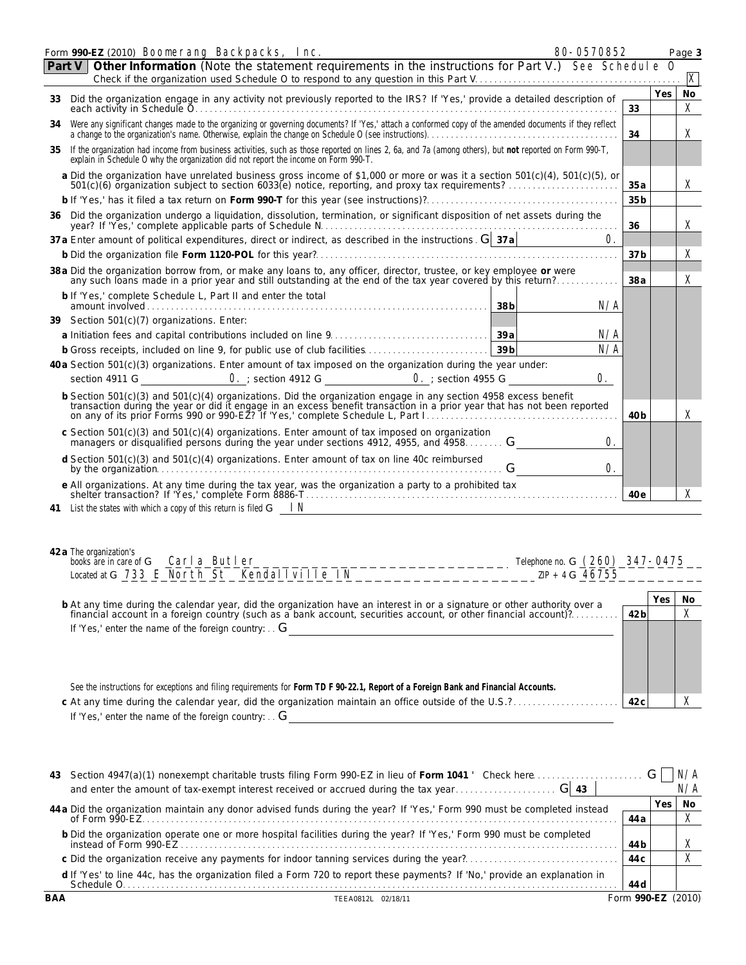|    | Form 990-EZ (2010) Boonerang Backpacks, Inc.<br>80-0570852                                                                                                                                                                                                                                                                        |                 |     | Page 3                    |
|----|-----------------------------------------------------------------------------------------------------------------------------------------------------------------------------------------------------------------------------------------------------------------------------------------------------------------------------------|-----------------|-----|---------------------------|
|    | Other Information (Note the statement requirements in the instructions for Part V.) See Schedule 0<br>Part V                                                                                                                                                                                                                      |                 |     |                           |
|    |                                                                                                                                                                                                                                                                                                                                   |                 |     | $\boldsymbol{\mathbf{X}}$ |
| 33 | Did the organization engage in any activity not previously reported to the IRS? If 'Yes,' provide a detailed description of                                                                                                                                                                                                       |                 | Yes | <b>No</b>                 |
|    |                                                                                                                                                                                                                                                                                                                                   | 33              |     | $\mathbf x$               |
| 34 | Were any significant changes made to the organizing or governing documents? If 'Yes,' attach a conformed copy of the amended documents if they reflect<br>a change to the organization's name. Otherwise, explain the change on Schedule O (see instructions).                                                                    | 34              |     | $\mathbf{x}$              |
| 35 | If the organization had income from business activities, such as those reported on lines 2, 6a, and 7a (among others), but not reported on Form 990-T,<br>explain in Schedule O why the organization did not report the income on Form 990-T.                                                                                     |                 |     |                           |
|    | a Did the organization have unrelated business gross income of \$1,000 or more or was it a section 501(c)(4), 501(c)(5), or 501(c)(6) organization subject to section 6033(e) notice, reporting, and proxy tax requirements?                                                                                                      | 35a             |     | X                         |
|    |                                                                                                                                                                                                                                                                                                                                   | 35 <sub>b</sub> |     |                           |
|    | 36 Did the organization undergo a liquidation, dissolution, termination, or significant disposition of net assets during the<br>year? If 'Yes,' complete applicable parts of Schedule N.                                                                                                                                          | 36              |     | X                         |
|    | 37 a Enter amount of political expenditures, direct or indirect, as described in the instructions. $G($ 37a                                                                                                                                                                                                                       | $\mathbf{0}$    |     |                           |
|    | b Did the organization file Form 1120-POL for this year?                                                                                                                                                                                                                                                                          | 37 <sub>b</sub> |     | X                         |
|    | 38 a Did the organization borrow from, or make any loans to, any officer, director, trustee, or key employee or were<br>any such loans made in a prior year and still outstanding at the end of the tax year covered by this return?                                                                                              | 38a             |     | $\mathbf{x}$              |
|    | b If 'Yes,' complete Schedule L, Part II and enter the total                                                                                                                                                                                                                                                                      | N/A             |     |                           |
|    | 39 Section 501(c)(7) organizations. Enter:                                                                                                                                                                                                                                                                                        |                 |     |                           |
|    |                                                                                                                                                                                                                                                                                                                                   | N/A             |     |                           |
|    | b Gross receipts, included on line 9, for public use of club facilities<br>39 <sub>b</sub>                                                                                                                                                                                                                                        | N/A             |     |                           |
|    | 40 a Section 501(c)(3) organizations. Enter amount of tax imposed on the organization during the year under:                                                                                                                                                                                                                      |                 |     |                           |
|    | section 4911 G <b>0.</b> ; section 4912 G<br>$\bullet$ ; section 4955 G<br>0.                                                                                                                                                                                                                                                     |                 |     |                           |
|    | b Section 501(c)(3) and 501(c)(4) organizations. Did the organization engage in any section 4958 excess benefit<br>transaction during the year or did it engage in an excess benefit transaction in a prior year that has not been reported                                                                                       | 40 <sub>b</sub> |     | $\mathbf x$               |
|    | c Section 501(c)(3) and 501(c)(4) organizations. Enter amount of tax imposed on organization<br>managers or disqualified persons during the year under sections 4912, 4955, and 4958 G                                                                                                                                            | 0.              |     |                           |
|    | d Section $501(c)(3)$ and $501(c)(4)$ organizations. Enter amount of tax on line 40c reimbursed<br>G and the set of the set of the set of the set of the set of the set of the set of the set of the set of the set of the set of the set of the set of the set of the set of the set of the set of the set of the set of the set | 0.              |     |                           |
|    | e All organizations. At any time during the tax year, was the organization a party to a prohibited tax                                                                                                                                                                                                                            | 40e             |     | X                         |
| 41 | List the states with which a copy of this return is filed $G$ $\blacksquare N$                                                                                                                                                                                                                                                    |                 |     |                           |
|    |                                                                                                                                                                                                                                                                                                                                   |                 |     |                           |
|    |                                                                                                                                                                                                                                                                                                                                   |                 |     |                           |
|    |                                                                                                                                                                                                                                                                                                                                   |                 |     |                           |

| 42 a The organization's<br>books are in care of G | Carla Butler                              | Telephone no. G $(260)$ 347-0475 |  |
|---------------------------------------------------|-------------------------------------------|----------------------------------|--|
| Located at G $733$                                | <b>R E North St Kendallville.</b><br>- TN | 46755<br>ZIP                     |  |

| b At any time during the calendar year, did the organization have an interest in or a signature or other authority over a financial account in a foreign country (such as a bank account, securities account, or other financi | 42 <sub>b</sub> | Yes | Νc |
|--------------------------------------------------------------------------------------------------------------------------------------------------------------------------------------------------------------------------------|-----------------|-----|----|
| If 'Yes,' enter the name of the foreign country: $G$                                                                                                                                                                           |                 |     |    |

See the instructions for exceptions and filing requirements for **Form TD F 90-22.1, Report of a Foreign Bank and Financial Accounts. c** At any time during the calendar year, did the organization maintain an office outside of the U.S.?. . . . . . . . . . . . . . . . . . . . . . **42c** If 'Yes,' enter the name of the foreign country:. . . G

| 43         |                                                                                                                                                  |             |       | N/A    |
|------------|--------------------------------------------------------------------------------------------------------------------------------------------------|-------------|-------|--------|
|            | 44 a Did the organization maintain any donor advised funds during the year? If 'Yes,' Form 990 must be completed instead                         |             | Yes I | No     |
|            |                                                                                                                                                  | 44 a        |       |        |
|            | b Did the organization operate one or more hospital facilities during the year? If 'Yes,' Form 990 must be completed<br>$instead of Form 990-EZ$ | 44 b        |       |        |
|            | c Did the organization receive any payments for indoor tanning services during the year?                                                         | 44 C        |       |        |
|            | d If 'Yes' to line 44c, has the organization filed a Form 720 to report these payments? If 'No,' provide an explanation in<br>Schedule O.        | 44 d        |       |        |
| <b>BAA</b> | TFFA0812L 02/18/11                                                                                                                               | Form 990-EZ |       | (2010) |

X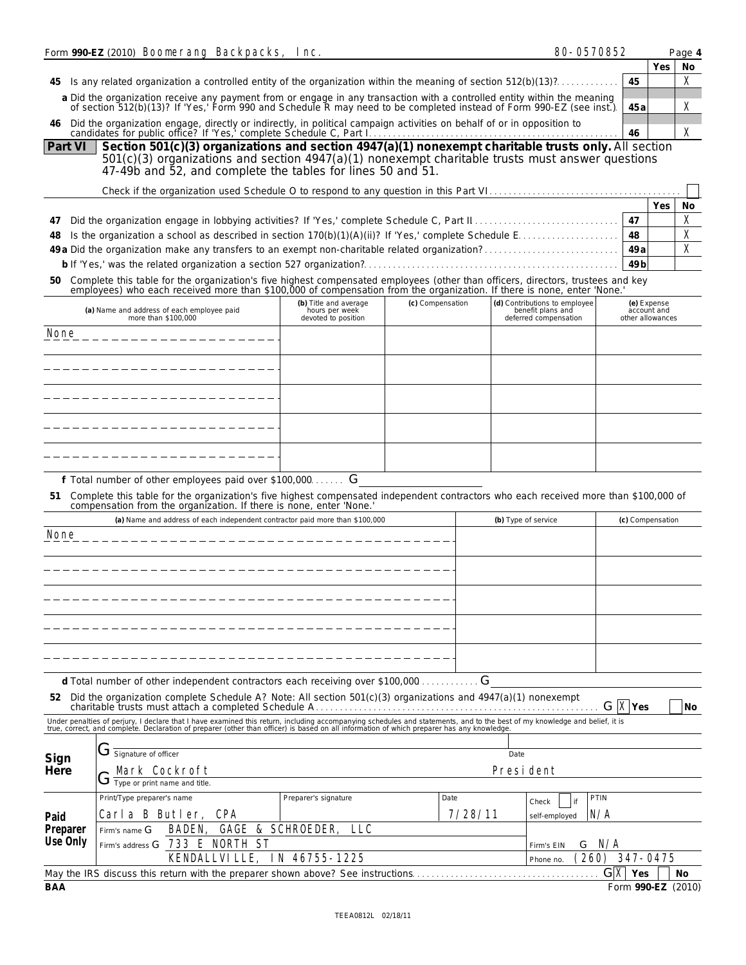|                  | Form 990-EZ (2010) <b>Boonerang Backpacks, Inc.</b>                                                                    |                              |                                                                |                  | 80-0570852                                                                                                                                                                                                                                       |                    |                                                | Page 4      |
|------------------|------------------------------------------------------------------------------------------------------------------------|------------------------------|----------------------------------------------------------------|------------------|--------------------------------------------------------------------------------------------------------------------------------------------------------------------------------------------------------------------------------------------------|--------------------|------------------------------------------------|-------------|
|                  |                                                                                                                        |                              |                                                                |                  |                                                                                                                                                                                                                                                  |                    | Yes                                            | No          |
| 45               |                                                                                                                        |                              |                                                                |                  | Is any related organization a controlled entity of the organization within the meaning of section $512(b)(13)$ ?                                                                                                                                 | 45                 |                                                | $\mathbf x$ |
|                  |                                                                                                                        |                              |                                                                |                  | a Did the organization receive any payment from or engage in any transaction with a controlled entity within the meaning<br>of section 512(b)(13)? If 'Yes,' Form 990 and Schedule R may need to be completed instead of Form 990-EZ (see inst.) | 45 a               |                                                | X           |
| 46.              | Did the organization engage, directly or indirectly, in political campaign activities on behalf of or in opposition to |                              |                                                                |                  |                                                                                                                                                                                                                                                  | 46                 |                                                | X           |
| Part VI          |                                                                                                                        |                              |                                                                |                  | Section 501(c)(3) organizations and section 4947(a)(1) nonexempt charitable trusts only. All section                                                                                                                                             |                    |                                                |             |
|                  | 47-49b and 52, and complete the tables for lines 50 and 51.                                                            |                              |                                                                |                  | $501(c)(3)$ organizations and section $4947(a)(1)$ nonexempt charitable trusts must answer questions                                                                                                                                             |                    |                                                |             |
|                  |                                                                                                                        |                              |                                                                |                  |                                                                                                                                                                                                                                                  |                    |                                                |             |
|                  |                                                                                                                        |                              |                                                                |                  |                                                                                                                                                                                                                                                  |                    | Yes                                            | No          |
| 47               |                                                                                                                        |                              |                                                                |                  |                                                                                                                                                                                                                                                  | 47                 |                                                | X           |
| 48               |                                                                                                                        |                              |                                                                |                  | Is the organization a school as described in section $170(b)(1)(A)(ii)$ ? If 'Yes,' complete Schedule E.                                                                                                                                         | 48<br>49a          |                                                | X<br>X      |
|                  |                                                                                                                        |                              |                                                                |                  |                                                                                                                                                                                                                                                  | 49 <sub>b</sub>    |                                                |             |
| 50               |                                                                                                                        |                              |                                                                |                  | Complete this table for the organization's five highest compensated employees (other than officers, directors, trustees and key                                                                                                                  |                    |                                                |             |
|                  |                                                                                                                        |                              |                                                                | (c) Compensation | employees) who each received more than \$100,000 of compensation from the organization. If there is none, enter 'None.                                                                                                                           |                    |                                                |             |
|                  | (a) Name and address of each employee paid<br>more than \$100,000                                                      |                              | (b) Title and average<br>hours per week<br>devoted to position |                  | (d) Contributions to employee<br>benefit plans and<br>deferred compensation                                                                                                                                                                      |                    | (e) Expense<br>account and<br>other allowances |             |
| <b>None</b>      |                                                                                                                        |                              |                                                                |                  |                                                                                                                                                                                                                                                  |                    |                                                |             |
|                  |                                                                                                                        |                              |                                                                |                  |                                                                                                                                                                                                                                                  |                    |                                                |             |
|                  |                                                                                                                        |                              |                                                                |                  |                                                                                                                                                                                                                                                  |                    |                                                |             |
|                  |                                                                                                                        |                              |                                                                |                  |                                                                                                                                                                                                                                                  |                    |                                                |             |
|                  |                                                                                                                        |                              |                                                                |                  |                                                                                                                                                                                                                                                  |                    |                                                |             |
|                  |                                                                                                                        |                              |                                                                |                  |                                                                                                                                                                                                                                                  |                    |                                                |             |
|                  | f Total number of other employees paid over \$100,000 G                                                                |                              |                                                                |                  |                                                                                                                                                                                                                                                  |                    |                                                |             |
|                  | compensation from the organization. If there is none, enter 'None.'                                                    |                              |                                                                |                  | 51 Complete this table for the organization's five highest compensated independent contractors who each received more than \$100,000 of                                                                                                          |                    |                                                |             |
|                  | (a) Name and address of each independent contractor paid more than \$100,000                                           |                              |                                                                |                  | (b) Type of service                                                                                                                                                                                                                              | (c) Compensation   |                                                |             |
| <b>None</b>      |                                                                                                                        |                              |                                                                |                  |                                                                                                                                                                                                                                                  |                    |                                                |             |
|                  |                                                                                                                        |                              |                                                                |                  |                                                                                                                                                                                                                                                  |                    |                                                |             |
|                  |                                                                                                                        |                              |                                                                |                  |                                                                                                                                                                                                                                                  |                    |                                                |             |
|                  |                                                                                                                        |                              |                                                                |                  |                                                                                                                                                                                                                                                  |                    |                                                |             |
|                  |                                                                                                                        |                              |                                                                |                  |                                                                                                                                                                                                                                                  |                    |                                                |             |
|                  |                                                                                                                        |                              |                                                                |                  |                                                                                                                                                                                                                                                  |                    |                                                |             |
|                  |                                                                                                                        |                              |                                                                |                  |                                                                                                                                                                                                                                                  |                    |                                                |             |
|                  | d Total number of other independent contractors each receiving over \$100,000                                          |                              |                                                                |                  | G                                                                                                                                                                                                                                                |                    |                                                |             |
|                  | 52 Did the organization complete Schedule A? Note: All section 501(c)(3) organizations and 4947(a)(1) nonexempt        |                              |                                                                |                  |                                                                                                                                                                                                                                                  | $G$ <b>X</b> Yes   |                                                | No          |
|                  |                                                                                                                        |                              |                                                                |                  | Under penalties of perjury, I declare that I have examined this return, including accompanying schedules and statements, and to the best of my knowledge and belief, it is true, correct, and complete. Declaration of prepare                   |                    |                                                |             |
|                  |                                                                                                                        |                              |                                                                |                  |                                                                                                                                                                                                                                                  |                    |                                                |             |
| Sign             | Signature of officer                                                                                                   |                              |                                                                |                  | Date                                                                                                                                                                                                                                             |                    |                                                |             |
| Here             | <b>Mark Cockroft</b><br>J                                                                                              |                              |                                                                |                  | <b>President</b>                                                                                                                                                                                                                                 |                    |                                                |             |
|                  | Type or print name and title.<br>Print/Type preparer's name                                                            |                              | Preparer's signature                                           | Date             | PTIN                                                                                                                                                                                                                                             |                    |                                                |             |
|                  | Carla B Butler,                                                                                                        | CPA                          |                                                                | 7/28/11          | Check<br>if<br>N/A                                                                                                                                                                                                                               |                    |                                                |             |
| Paid<br>Preparer | <b>BADEN.</b><br>Firm's name G                                                                                         | <b>GAGE &amp; SCHROEDER,</b> | LLC                                                            |                  | self-employed                                                                                                                                                                                                                                    |                    |                                                |             |
| Use Only         | Firm's address $G$                                                                                                     | <b>733 E NORTH ST</b>        |                                                                |                  | N/A<br>G<br>Firm's EIN                                                                                                                                                                                                                           |                    |                                                |             |
|                  | <b>KENDALLVILLE,</b>                                                                                                   |                              | IN 46755-1225                                                  |                  | 260)<br>Phone no.                                                                                                                                                                                                                                | 347-0475           |                                                |             |
|                  | May the IRS discuss this return with the preparer shown above? See instructions.                                       |                              |                                                                |                  |                                                                                                                                                                                                                                                  | $G[X]$ Yes         |                                                | No          |
| BAA              |                                                                                                                        |                              |                                                                |                  |                                                                                                                                                                                                                                                  | Form 990-EZ (2010) |                                                |             |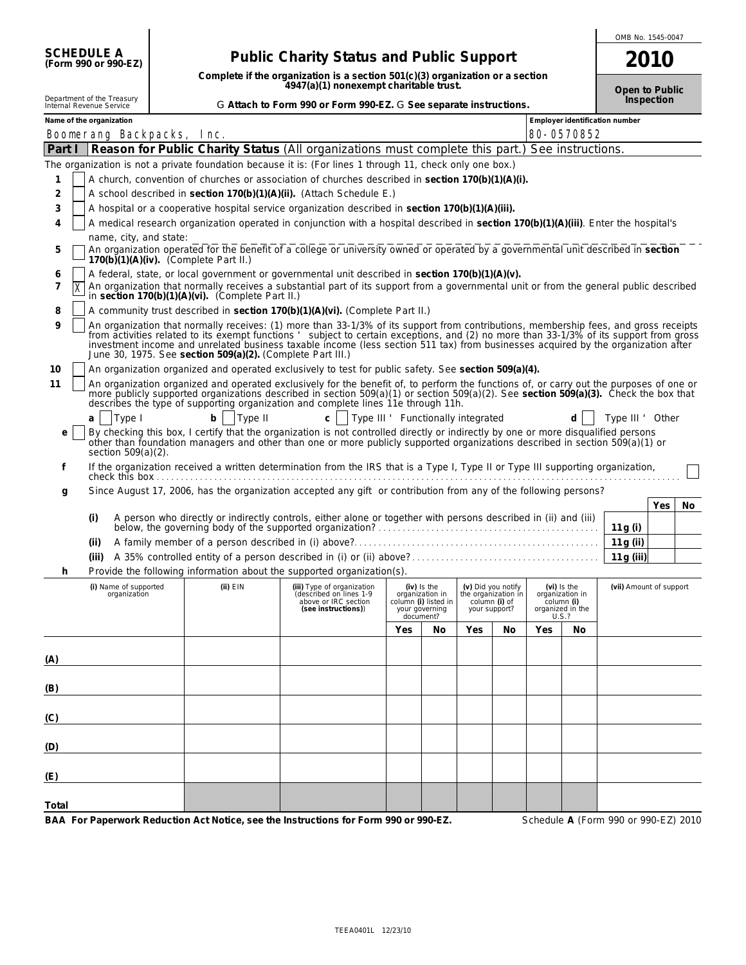|                                                        |                                                                                                                                      |                                                                                                                                                                                                                                                                                                                                                                              |     |                                                                                         |                                |                                           |     |                                                                             | OMB No. 1545-0047              |            |    |  |  |
|--------------------------------------------------------|--------------------------------------------------------------------------------------------------------------------------------------|------------------------------------------------------------------------------------------------------------------------------------------------------------------------------------------------------------------------------------------------------------------------------------------------------------------------------------------------------------------------------|-----|-----------------------------------------------------------------------------------------|--------------------------------|-------------------------------------------|-----|-----------------------------------------------------------------------------|--------------------------------|------------|----|--|--|
| SCHEDULE A<br>(Form 990 or 990-EZ)                     |                                                                                                                                      | <b>Public Charity Status and Public Support</b>                                                                                                                                                                                                                                                                                                                              |     |                                                                                         |                                |                                           |     |                                                                             | 2010                           |            |    |  |  |
|                                                        |                                                                                                                                      | Complete if the organization is a section 501(c)(3) organization or a section<br>4947(a)(1) nonexempt charitable trust.                                                                                                                                                                                                                                                      |     |                                                                                         |                                |                                           |     |                                                                             | Open to Public                 |            |    |  |  |
| Department of the Treasury<br>Internal Revenue Service |                                                                                                                                      | G Attach to Form 990 or Form 990-EZ. G See separate instructions.                                                                                                                                                                                                                                                                                                            |     |                                                                                         |                                |                                           |     |                                                                             |                                | Inspection |    |  |  |
| Name of the organization                               |                                                                                                                                      |                                                                                                                                                                                                                                                                                                                                                                              |     |                                                                                         |                                |                                           |     |                                                                             | Employer identification number |            |    |  |  |
| <b>Boonerang Backpacks, Inc.</b><br>Part I             |                                                                                                                                      | Reason for Public Charity Status (All organizations must complete this part.) See instructions.                                                                                                                                                                                                                                                                              |     |                                                                                         |                                |                                           |     | 80-0570852                                                                  |                                |            |    |  |  |
|                                                        |                                                                                                                                      | The organization is not a private foundation because it is: (For lines 1 through 11, check only one box.)                                                                                                                                                                                                                                                                    |     |                                                                                         |                                |                                           |     |                                                                             |                                |            |    |  |  |
| 1                                                      |                                                                                                                                      | A church, convention of churches or association of churches described in section 170(b)(1)(A)(i).                                                                                                                                                                                                                                                                            |     |                                                                                         |                                |                                           |     |                                                                             |                                |            |    |  |  |
| 2                                                      |                                                                                                                                      | A school described in section 170(b)(1)(A)(ii). (Attach Schedule E.)                                                                                                                                                                                                                                                                                                         |     |                                                                                         |                                |                                           |     |                                                                             |                                |            |    |  |  |
| 3                                                      |                                                                                                                                      | A hospital or a cooperative hospital service organization described in section $170(b)(1)(A)(iii)$ .                                                                                                                                                                                                                                                                         |     |                                                                                         |                                |                                           |     |                                                                             |                                |            |    |  |  |
| 4                                                      | A medical research organization operated in conjunction with a hospital described in section 170(b)(1)(A)(iii). Enter the hospital's |                                                                                                                                                                                                                                                                                                                                                                              |     |                                                                                         |                                |                                           |     |                                                                             |                                |            |    |  |  |
| name, city, and state:                                 |                                                                                                                                      |                                                                                                                                                                                                                                                                                                                                                                              |     |                                                                                         |                                |                                           |     |                                                                             |                                |            |    |  |  |
| 5                                                      | $170(b)(1)(A)(iv)$ . (Complete Part II.)                                                                                             | An organization operated for the benefit of a college or university owned or operated by a governmental unit described in section                                                                                                                                                                                                                                            |     |                                                                                         |                                |                                           |     |                                                                             |                                |            |    |  |  |
| 6<br>$\overline{7}$<br>$\overline{\mathbf{x}}$         |                                                                                                                                      | A federal, state, or local government or governmental unit described in section $170(b)(1)(A)(v)$ .<br>An organization that normally receives a substantial part of its support from a governmental unit or from the general public described                                                                                                                                |     |                                                                                         |                                |                                           |     |                                                                             |                                |            |    |  |  |
|                                                        | in section 170(b)(1)(A)(vi). (Complete Part II.)                                                                                     |                                                                                                                                                                                                                                                                                                                                                                              |     |                                                                                         |                                |                                           |     |                                                                             |                                |            |    |  |  |
| 8<br>9                                                 |                                                                                                                                      | A community trust described in section 170(b)(1)(A)(vi). (Complete Part II.)<br>An organization that normally receives: (1) more than 33-1/3% of its support from contributions, membership fees, and gross receipts                                                                                                                                                         |     |                                                                                         |                                |                                           |     |                                                                             |                                |            |    |  |  |
|                                                        | June 30, 1975. See section 509(a)(2). (Complete Part III.)                                                                           | from activities related to its exempt functions subject to certain exceptions, and (2) no more than 33-1/3% of its support from gross<br>investment income and unrelated business taxable income (less section 511 tax) from businesses acquired by the organization after                                                                                                   |     |                                                                                         |                                |                                           |     |                                                                             |                                |            |    |  |  |
| 10                                                     |                                                                                                                                      | An organization organized and operated exclusively to test for public safety. See section 509(a)(4).                                                                                                                                                                                                                                                                         |     |                                                                                         |                                |                                           |     |                                                                             |                                |            |    |  |  |
| 11                                                     |                                                                                                                                      | An organization organized and operated exclusively for the benefit of, to perform the functions of, or carry out the purposes of one or<br>more publicly supported organizations described in section $509(a)(1)$ or section $509(a)(2)$ . See section $509(a)(3)$ . Check the box that<br>describes the type of supporting organization and complete lines 11e through 11h. |     |                                                                                         |                                |                                           |     |                                                                             |                                |            |    |  |  |
| Type I<br>a                                            | Type II<br>b <sub>1</sub>                                                                                                            | c     Type III ' Functionally integrated                                                                                                                                                                                                                                                                                                                                     |     |                                                                                         |                                |                                           |     | d.                                                                          | Type III ' Other               |            |    |  |  |
| e<br>section 509(a)(2).                                |                                                                                                                                      | By checking this box, I certify that the organization is not controlled directly or indirectly by one or more disqualified persons<br>other than foundation managers and other than one or more publicly supported organizations described in section 509(a)(1) or                                                                                                           |     |                                                                                         |                                |                                           |     |                                                                             |                                |            |    |  |  |
| f                                                      |                                                                                                                                      | If the organization received a written determination from the IRS that is a Type I, Type II or Type III supporting organization,                                                                                                                                                                                                                                             |     |                                                                                         |                                |                                           |     |                                                                             |                                |            |    |  |  |
| g                                                      |                                                                                                                                      | Since August 17, 2006, has the organization accepted any gift or contribution from any of the following persons?                                                                                                                                                                                                                                                             |     |                                                                                         |                                |                                           |     |                                                                             |                                |            |    |  |  |
| (i)                                                    |                                                                                                                                      | A person who directly or indirectly controls, either alone or together with persons described in (ii) and (iii)                                                                                                                                                                                                                                                              |     |                                                                                         |                                |                                           |     |                                                                             |                                | Yes        | No |  |  |
|                                                        |                                                                                                                                      | below, the governing body of the supported organization?                                                                                                                                                                                                                                                                                                                     |     |                                                                                         |                                |                                           |     |                                                                             | 11g (i)                        |            |    |  |  |
| (ii)                                                   |                                                                                                                                      |                                                                                                                                                                                                                                                                                                                                                                              |     |                                                                                         |                                |                                           |     |                                                                             | 11g(i)                         |            |    |  |  |
| (iii)                                                  |                                                                                                                                      |                                                                                                                                                                                                                                                                                                                                                                              |     |                                                                                         |                                |                                           |     |                                                                             |                                | 11g (iii)  |    |  |  |
|                                                        |                                                                                                                                      | Provide the following information about the supported organization(s).                                                                                                                                                                                                                                                                                                       |     |                                                                                         |                                |                                           |     |                                                                             |                                |            |    |  |  |
| (i) Name of supported<br>organization                  | $(ii)$ EIN                                                                                                                           | (iii) Type of organization<br>(described on lines 1-9<br>above or IRC section<br>(see instructions))                                                                                                                                                                                                                                                                         |     | $(iv)$ is the<br>organization in<br>column (i) listed in<br>your governing<br>document? | column (i) of<br>your support? | (v) Did you notify<br>the organization in |     | $(vi)$ is the<br>organization in<br>column (i)<br>organized in the<br>U.S.? | (vii) Amount of support        |            |    |  |  |
|                                                        |                                                                                                                                      |                                                                                                                                                                                                                                                                                                                                                                              | Yes | No                                                                                      | Yes                            | No                                        | Yes | No                                                                          |                                |            |    |  |  |
|                                                        |                                                                                                                                      |                                                                                                                                                                                                                                                                                                                                                                              |     |                                                                                         |                                |                                           |     |                                                                             |                                |            |    |  |  |
| (A)                                                    |                                                                                                                                      |                                                                                                                                                                                                                                                                                                                                                                              |     |                                                                                         |                                |                                           |     |                                                                             |                                |            |    |  |  |
| (B)                                                    |                                                                                                                                      |                                                                                                                                                                                                                                                                                                                                                                              |     |                                                                                         |                                |                                           |     |                                                                             |                                |            |    |  |  |
| (C)                                                    |                                                                                                                                      |                                                                                                                                                                                                                                                                                                                                                                              |     |                                                                                         |                                |                                           |     |                                                                             |                                |            |    |  |  |
|                                                        |                                                                                                                                      |                                                                                                                                                                                                                                                                                                                                                                              |     |                                                                                         |                                |                                           |     |                                                                             |                                |            |    |  |  |
| (D)                                                    |                                                                                                                                      |                                                                                                                                                                                                                                                                                                                                                                              |     |                                                                                         |                                |                                           |     |                                                                             |                                |            |    |  |  |
| (E)                                                    |                                                                                                                                      |                                                                                                                                                                                                                                                                                                                                                                              |     |                                                                                         |                                |                                           |     |                                                                             |                                |            |    |  |  |
| Total                                                  |                                                                                                                                      |                                                                                                                                                                                                                                                                                                                                                                              |     |                                                                                         |                                |                                           |     |                                                                             |                                |            |    |  |  |

**BAA For Paperwork Reduction Act Notice, see the Instructions for Form 990 or 990-EZ.** Schedule **A** (Form 990 or 990-EZ) 2010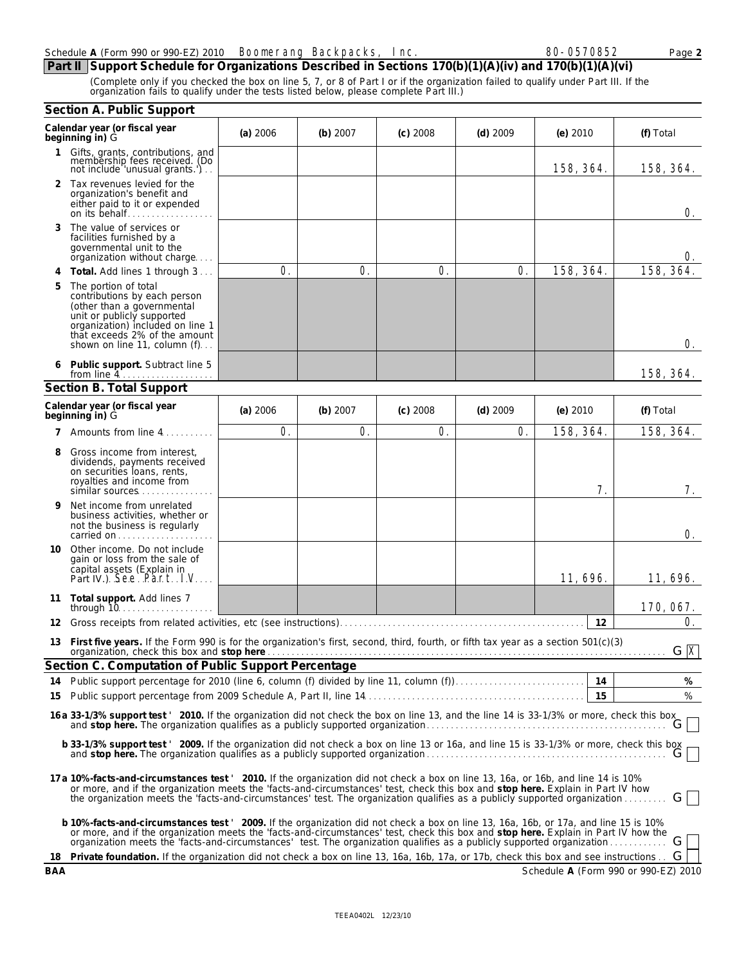## Schedule A (Form 990 or 990-EZ) 2010 **Boonerang Backpacks, Inc. 80-80-0570852** Page 2

**Part II Support Schedule for Organizations Described in Sections 170(b)(1)(A)(iv) and 170(b)(1)(A)(vi)** (Complete only if you checked the box on line 5, 7, or 8 of Part I or if the organization failed to qualify under Part III. If the organization fails to qualify under the tests listed below, please complete Part III.)

|           | Section A. Public Support                                                                                                                                                                                                                                                                                                                                                                               |            |            |            |            |                                      |           |
|-----------|---------------------------------------------------------------------------------------------------------------------------------------------------------------------------------------------------------------------------------------------------------------------------------------------------------------------------------------------------------------------------------------------------------|------------|------------|------------|------------|--------------------------------------|-----------|
|           | Calendar year (or fiscal year<br>beginning in) G                                                                                                                                                                                                                                                                                                                                                        | $(a)$ 2006 | (b) 2007   | $(c)$ 2008 | $(d)$ 2009 | $(e)$ 2010                           | (f) Total |
|           | 1 Gifts, grants, contributions, and<br>membership fees received. (Do<br>not include 'unusual grants.')                                                                                                                                                                                                                                                                                                  |            |            |            |            | 158, 364.                            | 158, 364. |
|           | 2 Tax revenues levied for the<br>organization's benefit and<br>either paid to it or expended<br>on its behalf                                                                                                                                                                                                                                                                                           |            |            |            |            |                                      | 0.        |
| 3         | The value of services or<br>facilities furnished by a<br>governmental unit to the<br>organization without charge                                                                                                                                                                                                                                                                                        |            |            |            |            |                                      | U.        |
| 4         | Total. Add lines 1 through 3                                                                                                                                                                                                                                                                                                                                                                            | 0.         | 0.         | O.         | 0.         | 158, 364.                            | 158, 364. |
| 5         | The portion of total<br>contributions by each person<br>(other than a governmental<br>unit or publicly supported<br>organization) included on line 1<br>that exceeds 2% of the amount<br>shown on line 11, column (f)                                                                                                                                                                                   |            |            |            |            |                                      | 0.        |
| 6         | Public support. Subtract line 5                                                                                                                                                                                                                                                                                                                                                                         |            |            |            |            |                                      | 158, 364. |
|           | Section B. Total Support                                                                                                                                                                                                                                                                                                                                                                                |            |            |            |            |                                      |           |
|           | Calendar year (or fiscal year<br>beginning in) G                                                                                                                                                                                                                                                                                                                                                        | $(a)$ 2006 | (b) $2007$ | $(c)$ 2008 | $(d)$ 2009 | $(e)$ 2010                           | (f) Total |
|           | 7 Amounts from line 4.                                                                                                                                                                                                                                                                                                                                                                                  | 0.         | O.         | O.         | 0.         | 158, 364.                            | 158, 364. |
| 8         | Gross income from interest,<br>dividends, payments received<br>on securities loans, rents,<br>royalties and income from<br>similar sources                                                                                                                                                                                                                                                              |            |            |            |            | 7.                                   | 7.        |
| 9         | Net income from unrelated<br>business activities, whether or<br>not the business is regularly<br>carried on                                                                                                                                                                                                                                                                                             |            |            |            |            |                                      | 0.        |
| 10        | Other income. Do not include<br>gain or loss from the sale of<br>capital assets (Explain in<br>Part IV.). See. Part IV                                                                                                                                                                                                                                                                                  |            |            |            |            | 11, 696.                             | 11, 696.  |
| 11        | Total support. Add lines 7                                                                                                                                                                                                                                                                                                                                                                              |            |            |            |            |                                      | 170, 067. |
| 12        |                                                                                                                                                                                                                                                                                                                                                                                                         |            |            |            |            | 12                                   | O.        |
| 13        | First five years. If the Form 990 is for the organization's first, second, third, fourth, or fifth tax year as a section 501(c)(3)<br>organization, check this box and stop here $\frac{1}{2}$                                                                                                                                                                                                          |            |            |            |            |                                      |           |
|           | Section C. Computation of Public Support Percentage                                                                                                                                                                                                                                                                                                                                                     |            |            |            |            |                                      |           |
| 14        |                                                                                                                                                                                                                                                                                                                                                                                                         |            |            |            |            | 15                                   | %         |
| 15        |                                                                                                                                                                                                                                                                                                                                                                                                         |            |            |            |            |                                      | %         |
|           | 16 a 33-1/3% support test '2010. If the organization did not check the box on line 13, and the line 14 is 33-1/3% or more, check this box_                                                                                                                                                                                                                                                              |            |            |            |            |                                      |           |
|           | b 33-1/3% support test ' 2009. If the organization did not check a box on line 13 or 16a, and line 15 is 33-1/3% or more, check this box                                                                                                                                                                                                                                                                |            |            |            |            |                                      | G         |
|           | 17 a 10%-facts-and-circumstances test ' 2010. If the organization did not check a box on line 13, 16a, or 16b, and line 14 is 10%<br>or more, and if the organization meets the 'facts-and-circumstances' test, check this box and stop here. Explain in Part IV how<br>the organization meets the 'facts-and-circumstances' test. The organization qualifies as a publicly supported organization      |            |            |            |            |                                      | GI        |
|           | b 10%-facts-and-circumstances test ' 2009. If the organization did not check a box on line 13, 16a, 16b, or 17a, and line 15 is 10%<br>or more, and if the organization meets the 'facts-and-circumstances' test, check this box and stop here. Explain in Part IV how the<br>organization meets the 'facts-and-circumstances' test. The organization qualifies as a publicly supported organization  G |            |            |            |            |                                      |           |
| 18<br>BAA | Private foundation. If the organization did not check a box on line 13, 16a, 16b, 17a, or 17b, check this box and see instructions                                                                                                                                                                                                                                                                      |            |            |            |            | Schedule A (Form 990 or 990-EZ) 2010 | G         |
|           |                                                                                                                                                                                                                                                                                                                                                                                                         |            |            |            |            |                                      |           |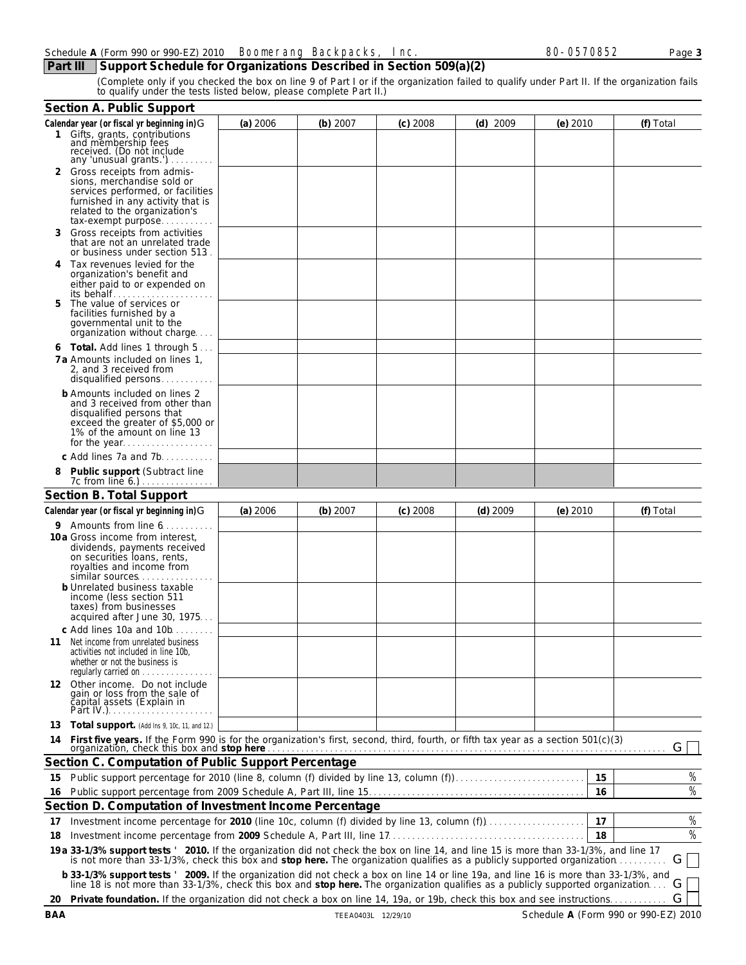**Part III Support Schedule for Organizations Described in Section 509(a)(2)**

(Complete only if you checked the box on line 9 of Part I or if the organization failed to qualify under Part II. If the organization fails to qualify under the tests listed below, please complete Part II.)

|    | Section A. Public Support                                                                                                                                                                                                                                            |            |            |            |            |            |    |           |
|----|----------------------------------------------------------------------------------------------------------------------------------------------------------------------------------------------------------------------------------------------------------------------|------------|------------|------------|------------|------------|----|-----------|
|    | Calendar year (or fiscal yr beginning in) G<br>Gifts, grants, contributions<br>and membership fees<br>received. (Do not include                                                                                                                                      | $(a)$ 2006 | (b) 2007   | $(c)$ 2008 | $(d)$ 2009 | $(e)$ 2010 |    | (f) Total |
| 2  | any 'unusual grants.')<br>Gross receipts from admis-<br>sions, merchandise sold or<br>services performed, or facilities<br>furnished in any activity that is<br>related to the organization's<br>tax-exempt purpose                                                  |            |            |            |            |            |    |           |
| 3  | Gross receipts from activities<br>that are not an unrelated trade<br>or business under section 513.                                                                                                                                                                  |            |            |            |            |            |    |           |
| 4  | Tax revenues levied for the<br>organization's benefit and<br>either paid to or expended on<br>its behalf                                                                                                                                                             |            |            |            |            |            |    |           |
|    | The value of services or<br>facilities furnished by a<br>governmental unit to the<br>organization without charge                                                                                                                                                     |            |            |            |            |            |    |           |
|    | 6 Total. Add lines 1 through 5<br>7 a Amounts included on lines 1.<br>2, and 3 received from<br>disqualified persons                                                                                                                                                 |            |            |            |            |            |    |           |
|    | b Amounts included on lines 2<br>and 3 received from other than<br>disqualified persons that<br>exceed the greater of \$5,000 or<br>1% of the amount on line 13<br>for the year                                                                                      |            |            |            |            |            |    |           |
|    | c Add lines 7a and 7b                                                                                                                                                                                                                                                |            |            |            |            |            |    |           |
|    | Public support (Subtract line<br>7c from line 6.)                                                                                                                                                                                                                    |            |            |            |            |            |    |           |
|    | Section B. Total Support                                                                                                                                                                                                                                             |            |            |            |            |            |    |           |
|    | Calendar year (or fiscal yr beginning in)G                                                                                                                                                                                                                           | $(a)$ 2006 | $(b)$ 2007 | $(c)$ 2008 | $(d)$ 2009 | $(e)$ 2010 |    | (f) Total |
|    | 9 Amounts from line 6.                                                                                                                                                                                                                                               |            |            |            |            |            |    |           |
|    | 10a Gross income from interest,<br>dividends, payments received<br>on securities loans, rents,<br>royalties and income from<br>similar sources<br>b Unrelated business taxable<br>income (less section 511<br>taxes) from businesses<br>acquired after June 30, 1975 |            |            |            |            |            |    |           |
|    | c Add lines 10a and 10b.<br>11 Net income from unrelated business<br>activities not included in line 10b,<br>whether or not the business is<br>regularly carried on                                                                                                  |            |            |            |            |            |    |           |
|    | 12 Other income. Do not include<br>gain or loss from the sale of<br>čapital assets (Explain in                                                                                                                                                                       |            |            |            |            |            |    |           |
| 13 | Total support. (Add Ins 9, 10c, 11, and 12.)                                                                                                                                                                                                                         |            |            |            |            |            |    |           |
| 14 | First five years. If the Form 990 is for the organization's first, second, third, fourth, or fifth tax year as a section 501(c)(3) organization, check this box and stop here comparison in the content of the set of the set                                        |            |            |            |            |            |    | G         |
|    | Section C. Computation of Public Support Percentage                                                                                                                                                                                                                  |            |            |            |            |            |    |           |
| 15 | Public support percentage for 2010 (line 8, column (f) divided by line 13, column (f)                                                                                                                                                                                |            |            |            |            |            | 15 | %         |
|    |                                                                                                                                                                                                                                                                      |            |            |            |            |            | 16 | $\%$      |
| 16 | Section D. Computation of Investment Income Percentage                                                                                                                                                                                                               |            |            |            |            |            |    |           |
| 17 | Investment income percentage for 2010 (line 10c, column (f) divided by line 13, column (f))                                                                                                                                                                          |            |            |            |            |            | 17 | $\%$      |
| 18 |                                                                                                                                                                                                                                                                      |            |            |            |            |            | 18 | $\%$      |
|    | 19 a 33-1/3% support tests ' 2010. If the organization did not check the box on line 14, and line 15 is more than 33-1/3%, and line 17<br>is not more than 33-1/3%, check this box and stop here. The organization qualifies as a publicly supported organization    |            |            |            |            |            |    | G         |
|    | b 33-1/3% support tests ' 2009. If the organization did not check a box on line 14 or line 19a, and line 16 is more than 33-1/3%, and line 18 is not more than 33-1/3%, check this box and stop here. The organization qualifi                                       |            |            |            |            |            |    | G         |
|    | 20 Private foundation. If the organization did not check a box on line 14, 19a, or 19b, check this box and see instructions                                                                                                                                          |            |            |            |            |            |    | G         |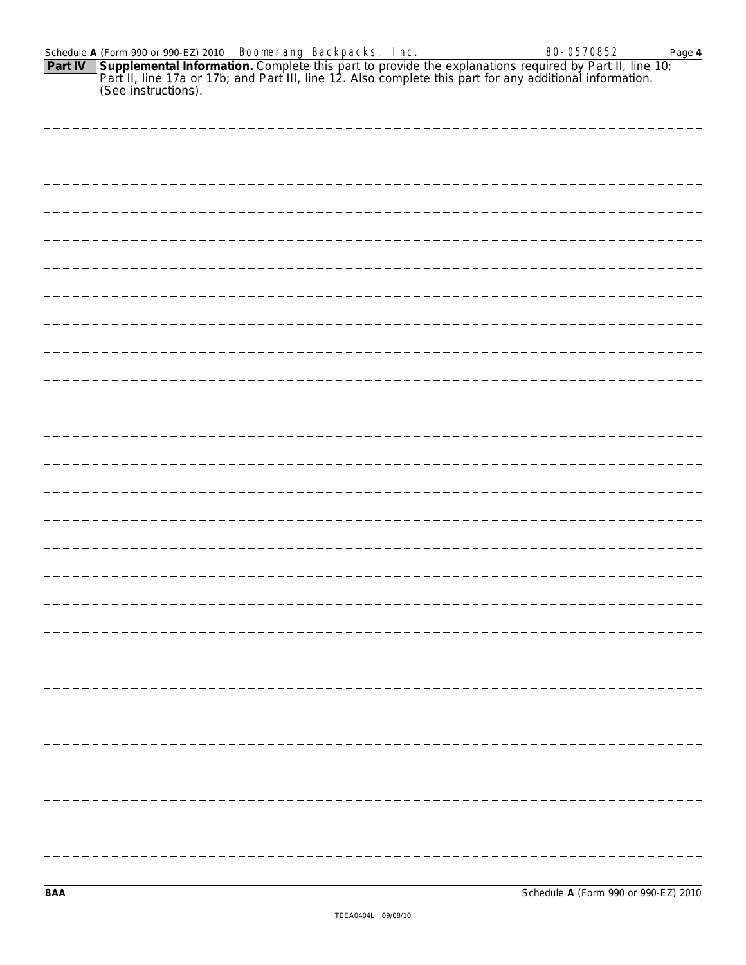| --------------------- |  |
|-----------------------|--|
|                       |  |
|                       |  |
|                       |  |
|                       |  |
|                       |  |
|                       |  |
|                       |  |

Schedule A (Form 990 or 990-EZ) 2010 **Boonerang Backpacks, Inc. 80-80-0570852** Page 4

(See instructions).

**Part IV**

**Supplemental Information.** Complete this part to provide the explanations required by Part II, line 10; Part II, line 17a or 17b; and Part III, line 12. Also complete this part for any additional information.

**BAA** Schedule **A** (Form 990 or 990-EZ) 2010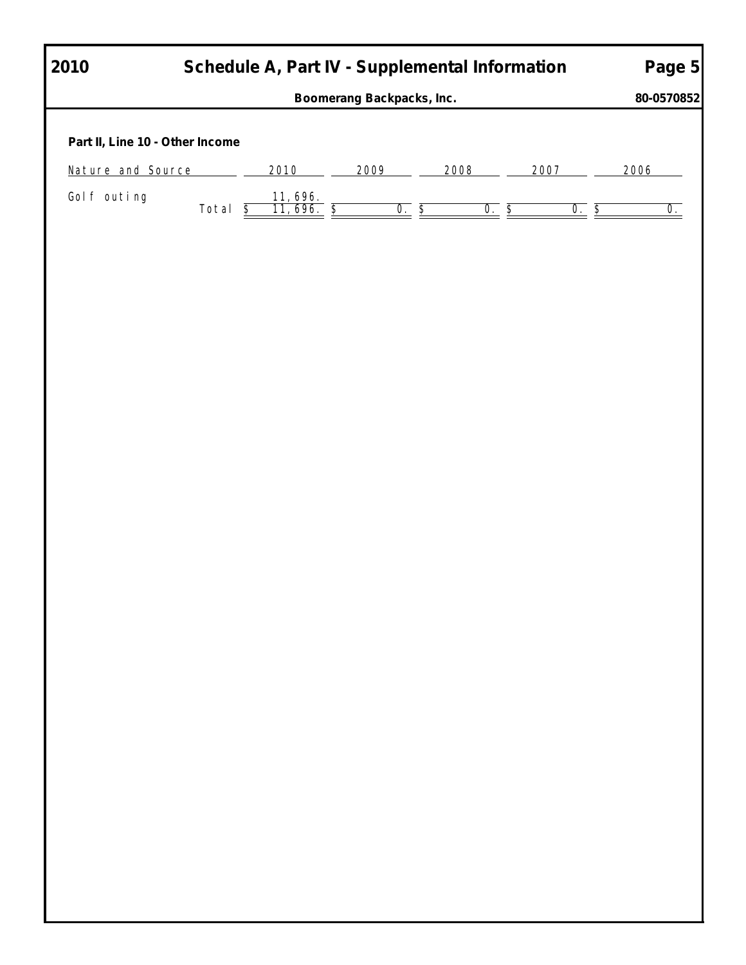| 2010                            | Schedule A, Part IV - Supplemental Information |                              | Boomerang Backpacks, Inc. |          |      |          |                                              |      | Page 5<br>80-0570852      |
|---------------------------------|------------------------------------------------|------------------------------|---------------------------|----------|------|----------|----------------------------------------------|------|---------------------------|
| Part II, Line 10 - Other Income |                                                |                              |                           |          |      |          |                                              |      |                           |
| <b>Nature and Source</b>        |                                                | 2010                         | 2009                      |          | 2008 | 2007     |                                              | 2006 |                           |
| Golf outing                     | Total $\overline{\underline{\$}}$              | $\frac{11,696.}{11,696.}$ \$ |                           | $0.$ $S$ |      | $0.$ $S$ | $0.$ $\overline{\underline{\boldsymbol{S}}}$ |      | $\overline{\mathbf{0}}$ . |
|                                 |                                                |                              |                           |          |      |          |                                              |      |                           |
|                                 |                                                |                              |                           |          |      |          |                                              |      |                           |
|                                 |                                                |                              |                           |          |      |          |                                              |      |                           |
|                                 |                                                |                              |                           |          |      |          |                                              |      |                           |
|                                 |                                                |                              |                           |          |      |          |                                              |      |                           |
|                                 |                                                |                              |                           |          |      |          |                                              |      |                           |
|                                 |                                                |                              |                           |          |      |          |                                              |      |                           |
|                                 |                                                |                              |                           |          |      |          |                                              |      |                           |
|                                 |                                                |                              |                           |          |      |          |                                              |      |                           |
|                                 |                                                |                              |                           |          |      |          |                                              |      |                           |
|                                 |                                                |                              |                           |          |      |          |                                              |      |                           |
|                                 |                                                |                              |                           |          |      |          |                                              |      |                           |
|                                 |                                                |                              |                           |          |      |          |                                              |      |                           |
|                                 |                                                |                              |                           |          |      |          |                                              |      |                           |
|                                 |                                                |                              |                           |          |      |          |                                              |      |                           |
|                                 |                                                |                              |                           |          |      |          |                                              |      |                           |
|                                 |                                                |                              |                           |          |      |          |                                              |      |                           |
|                                 |                                                |                              |                           |          |      |          |                                              |      |                           |
|                                 |                                                |                              |                           |          |      |          |                                              |      |                           |
|                                 |                                                |                              |                           |          |      |          |                                              |      |                           |
|                                 |                                                |                              |                           |          |      |          |                                              |      |                           |
|                                 |                                                |                              |                           |          |      |          |                                              |      |                           |
|                                 |                                                |                              |                           |          |      |          |                                              |      |                           |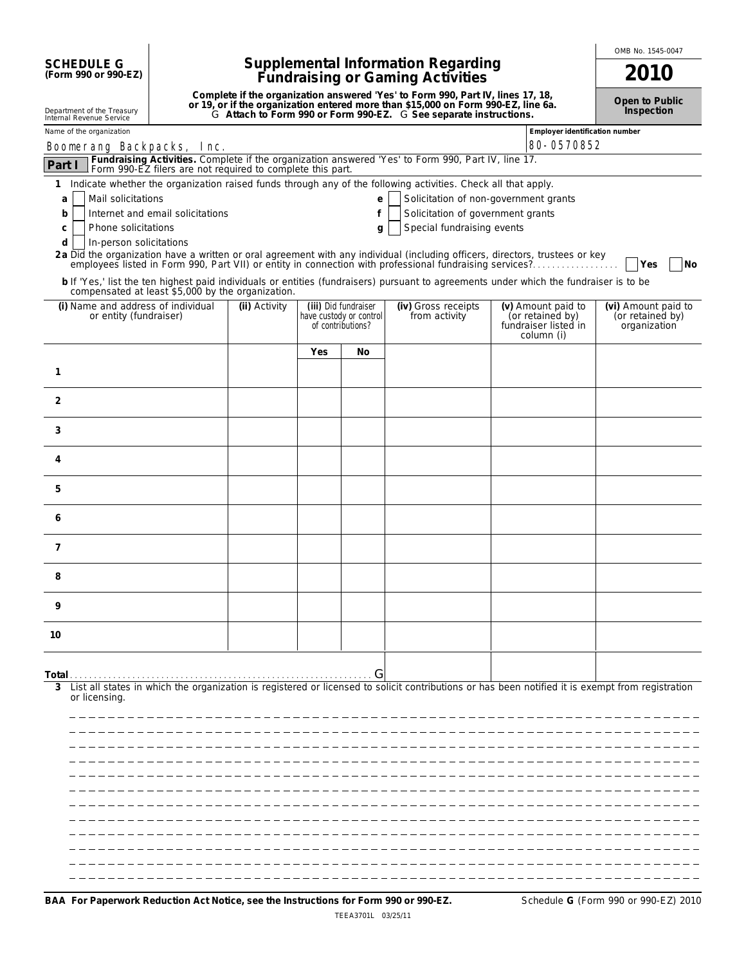| <b>SCHEDULE G</b>    |  |
|----------------------|--|
| (Form 990 or 990-EZ) |  |

Department of the Treasury

## **Supplemental Information Regarding Fundraising or Gaming Activities 2010**

**Complete if the organization answered 'Yes' to Form 990, Part IV, lines 17, 18,** or 19, or if the organization entered more than \$15,000 on Form 990-EZ, line 6a.<br>G Attach to Form 990 or Form 990-EZ. G See separate instructions. **Open to Public Inspection**

OMB No. 1545-0047

| Internal Revenue Service                                                                 |                                                            |               |     |                                                                      | G ANGUT TO FUITH 990 OF FUITH 990-EZ. G SEE SEPTERE INSTITUTIONS.                                                                                                                                                                                                                                                                                                                                                                                                      |                                                                              |                                                         |
|------------------------------------------------------------------------------------------|------------------------------------------------------------|---------------|-----|----------------------------------------------------------------------|------------------------------------------------------------------------------------------------------------------------------------------------------------------------------------------------------------------------------------------------------------------------------------------------------------------------------------------------------------------------------------------------------------------------------------------------------------------------|------------------------------------------------------------------------------|---------------------------------------------------------|
| Name of the organization                                                                 |                                                            |               |     |                                                                      |                                                                                                                                                                                                                                                                                                                                                                                                                                                                        | Employer identification number                                               |                                                         |
| <b>Boonerang Backpacks, Inc.</b>                                                         |                                                            |               |     |                                                                      |                                                                                                                                                                                                                                                                                                                                                                                                                                                                        | 80-0570852                                                                   |                                                         |
| Part I                                                                                   | Form 990-EZ filers are not required to complete this part. |               |     |                                                                      | Fundraising Activities. Complete if the organization answered 'Yes' to Form 990, Part IV, line 17.                                                                                                                                                                                                                                                                                                                                                                     |                                                                              |                                                         |
| Mail solicitations<br>a<br>b<br>Phone solicitations<br>C<br>d<br>In-person solicitations | Internet and email solicitations                           |               |     | e<br>f<br>g                                                          | 1 Indicate whether the organization raised funds through any of the following activities. Check all that apply.<br>Solicitation of non-government grants<br>Solicitation of government grants<br>Special fundraising events<br>2a Did the organization have a written or oral agreement with any individual (including officers, directors, trustees or key<br>employees listed in Form 990, Part VII) or entity in connection with professional fundraising services? |                                                                              | N <sub>O</sub><br>Yes                                   |
| compensated at least \$5,000 by the organization.                                        |                                                            |               |     |                                                                      | b If 'Yes,' list the ten highest paid individuals or entities (fundraisers) pursuant to agreements under which the fundraiser is to be                                                                                                                                                                                                                                                                                                                                 |                                                                              |                                                         |
| (i) Name and address of individual<br>or entity (fundraiser)                             |                                                            | (ii) Activity |     | (iii) Did fundraiser<br>have custody or control<br>of contributions? | (iv) Gross receipts<br>from activity                                                                                                                                                                                                                                                                                                                                                                                                                                   | (v) Amount paid to<br>(or retained by)<br>fundraiser listed in<br>column (i) | (vi) Amount paid to<br>(or retained by)<br>organization |
|                                                                                          |                                                            |               | Yes | No                                                                   |                                                                                                                                                                                                                                                                                                                                                                                                                                                                        |                                                                              |                                                         |
| 1                                                                                        |                                                            |               |     |                                                                      |                                                                                                                                                                                                                                                                                                                                                                                                                                                                        |                                                                              |                                                         |
| 2                                                                                        |                                                            |               |     |                                                                      |                                                                                                                                                                                                                                                                                                                                                                                                                                                                        |                                                                              |                                                         |
| 3                                                                                        |                                                            |               |     |                                                                      |                                                                                                                                                                                                                                                                                                                                                                                                                                                                        |                                                                              |                                                         |
| 4                                                                                        |                                                            |               |     |                                                                      |                                                                                                                                                                                                                                                                                                                                                                                                                                                                        |                                                                              |                                                         |
| 5                                                                                        |                                                            |               |     |                                                                      |                                                                                                                                                                                                                                                                                                                                                                                                                                                                        |                                                                              |                                                         |
| 6                                                                                        |                                                            |               |     |                                                                      |                                                                                                                                                                                                                                                                                                                                                                                                                                                                        |                                                                              |                                                         |
| $\overline{7}$                                                                           |                                                            |               |     |                                                                      |                                                                                                                                                                                                                                                                                                                                                                                                                                                                        |                                                                              |                                                         |
| 8                                                                                        |                                                            |               |     |                                                                      |                                                                                                                                                                                                                                                                                                                                                                                                                                                                        |                                                                              |                                                         |
| 9                                                                                        |                                                            |               |     |                                                                      |                                                                                                                                                                                                                                                                                                                                                                                                                                                                        |                                                                              |                                                         |
| 10                                                                                       |                                                            |               |     |                                                                      |                                                                                                                                                                                                                                                                                                                                                                                                                                                                        |                                                                              |                                                         |
|                                                                                          |                                                            |               |     | G                                                                    |                                                                                                                                                                                                                                                                                                                                                                                                                                                                        |                                                                              |                                                         |
| or licensing.                                                                            |                                                            |               |     |                                                                      | List all states in which the organization is registered or licensed to solicit contributions or has been notified it is exempt from registration                                                                                                                                                                                                                                                                                                                       |                                                                              |                                                         |
|                                                                                          |                                                            |               |     |                                                                      |                                                                                                                                                                                                                                                                                                                                                                                                                                                                        |                                                                              |                                                         |
|                                                                                          |                                                            |               |     |                                                                      |                                                                                                                                                                                                                                                                                                                                                                                                                                                                        |                                                                              |                                                         |
|                                                                                          |                                                            |               |     |                                                                      |                                                                                                                                                                                                                                                                                                                                                                                                                                                                        |                                                                              |                                                         |
|                                                                                          |                                                            |               |     |                                                                      |                                                                                                                                                                                                                                                                                                                                                                                                                                                                        |                                                                              |                                                         |
|                                                                                          |                                                            |               |     |                                                                      |                                                                                                                                                                                                                                                                                                                                                                                                                                                                        |                                                                              |                                                         |
|                                                                                          |                                                            |               |     |                                                                      |                                                                                                                                                                                                                                                                                                                                                                                                                                                                        |                                                                              |                                                         |
|                                                                                          |                                                            |               |     |                                                                      |                                                                                                                                                                                                                                                                                                                                                                                                                                                                        |                                                                              |                                                         |
|                                                                                          |                                                            |               |     |                                                                      |                                                                                                                                                                                                                                                                                                                                                                                                                                                                        |                                                                              |                                                         |
|                                                                                          |                                                            |               |     |                                                                      |                                                                                                                                                                                                                                                                                                                                                                                                                                                                        |                                                                              |                                                         |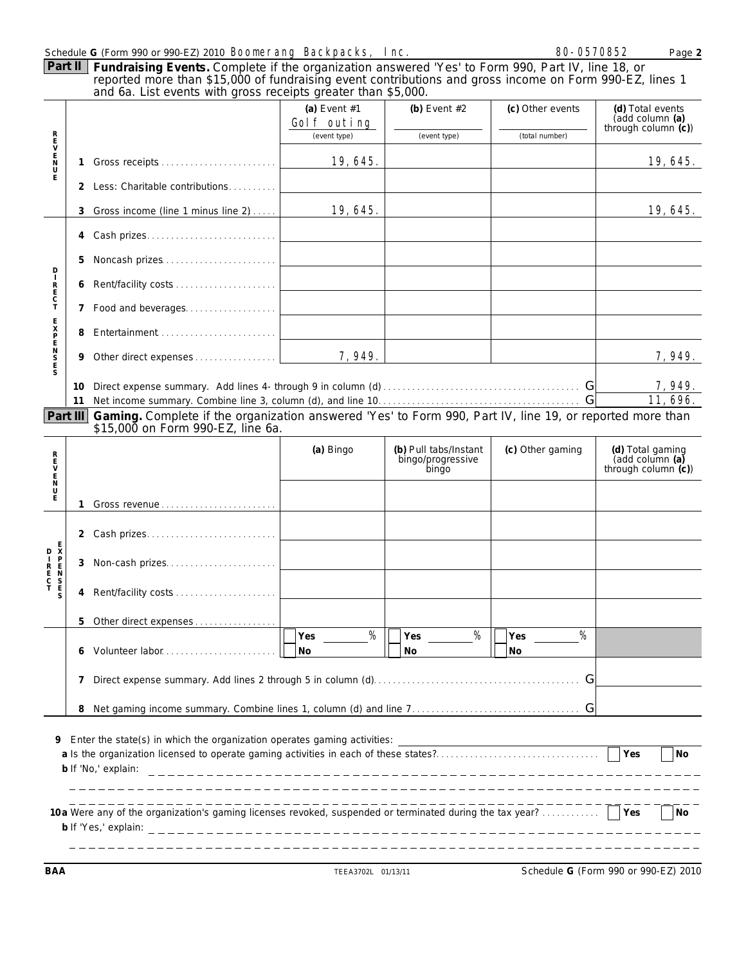|                                                                                                                                                                                                                        |                                         | Schedule G (Form 990 or 990-EZ) 2010 <b>Boonerang Backpacks, Inc.</b>                                                                                                                                                                                                         |                               |                                                     | 80-0570852            | Page 2                                                     |  |
|------------------------------------------------------------------------------------------------------------------------------------------------------------------------------------------------------------------------|-----------------------------------------|-------------------------------------------------------------------------------------------------------------------------------------------------------------------------------------------------------------------------------------------------------------------------------|-------------------------------|-----------------------------------------------------|-----------------------|------------------------------------------------------------|--|
|                                                                                                                                                                                                                        | Part II                                 | Fundraising Events. Complete if the organization answered 'Yes' to Form 990, Part IV, line 18, or<br>reported more than \$15,000 of fundraising event contributions and gross income on Form 990-EZ, lines 1<br>and 6a. List events with gross receipts greater than \$5,000. |                               |                                                     |                       |                                                            |  |
|                                                                                                                                                                                                                        |                                         |                                                                                                                                                                                                                                                                               | (a) Event $#1$<br>Golf outing | (b) Event $#2$                                      | (c) Other events      | (d) Total events<br>(add column (a)<br>through column (c)) |  |
|                                                                                                                                                                                                                        |                                         |                                                                                                                                                                                                                                                                               | (event type)                  | (event type)                                        | (total number)        |                                                            |  |
| スピークについ                                                                                                                                                                                                                | 1                                       |                                                                                                                                                                                                                                                                               | 19, 645.                      |                                                     |                       | 19, 645.                                                   |  |
| Ė                                                                                                                                                                                                                      | 2                                       | Less: Charitable contributions                                                                                                                                                                                                                                                |                               |                                                     |                       |                                                            |  |
|                                                                                                                                                                                                                        | 3                                       | Gross income (line 1 minus line 2)                                                                                                                                                                                                                                            | 19, 645.                      |                                                     |                       | 19, 645.                                                   |  |
|                                                                                                                                                                                                                        | 4                                       |                                                                                                                                                                                                                                                                               |                               |                                                     |                       |                                                            |  |
| D                                                                                                                                                                                                                      | 5                                       |                                                                                                                                                                                                                                                                               |                               |                                                     |                       |                                                            |  |
| R<br>E<br>C<br>T                                                                                                                                                                                                       | 6                                       |                                                                                                                                                                                                                                                                               |                               |                                                     |                       |                                                            |  |
|                                                                                                                                                                                                                        | 7                                       |                                                                                                                                                                                                                                                                               |                               |                                                     |                       |                                                            |  |
|                                                                                                                                                                                                                        | 8                                       |                                                                                                                                                                                                                                                                               |                               |                                                     |                       |                                                            |  |
| <b>NHSNHSNH</b>                                                                                                                                                                                                        | 9                                       |                                                                                                                                                                                                                                                                               | 7, 949.                       |                                                     |                       | 7, 949.                                                    |  |
|                                                                                                                                                                                                                        | 10                                      |                                                                                                                                                                                                                                                                               |                               |                                                     |                       | 7, 949.                                                    |  |
|                                                                                                                                                                                                                        | 11                                      |                                                                                                                                                                                                                                                                               |                               |                                                     | G                     | 11, 696.                                                   |  |
|                                                                                                                                                                                                                        | Part III                                | Gaming. Complete if the organization answered 'Yes' to Form 990, Part IV, line 19, or reported more than<br>\$15,000 on Form 990-EZ, line 6a.                                                                                                                                 |                               |                                                     |                       |                                                            |  |
| mczm <m2< td=""><td></td><td></td><td>(a) Bingo</td><td>(b) Pull tabs/Instant<br/>bingo/progressive<br/>bingo</td><td>(c) Other gaming</td><td>(d) Total gaming<br/>(add column (a)<br/>through column (c))</td></m2<> |                                         |                                                                                                                                                                                                                                                                               | (a) Bingo                     | (b) Pull tabs/Instant<br>bingo/progressive<br>bingo | (c) Other gaming      | (d) Total gaming<br>(add column (a)<br>through column (c)) |  |
|                                                                                                                                                                                                                        | 1                                       |                                                                                                                                                                                                                                                                               |                               |                                                     |                       |                                                            |  |
|                                                                                                                                                                                                                        |                                         |                                                                                                                                                                                                                                                                               |                               |                                                     |                       |                                                            |  |
|                                                                                                                                                                                                                        |                                         | 2 Cash prizes                                                                                                                                                                                                                                                                 |                               |                                                     |                       |                                                            |  |
|                                                                                                                                                                                                                        | 3                                       | Non-cash prizes                                                                                                                                                                                                                                                               |                               |                                                     |                       |                                                            |  |
|                                                                                                                                                                                                                        |                                         | 4 Rent/facility costs                                                                                                                                                                                                                                                         |                               |                                                     |                       |                                                            |  |
|                                                                                                                                                                                                                        |                                         | 5 Other direct expenses                                                                                                                                                                                                                                                       |                               |                                                     |                       |                                                            |  |
|                                                                                                                                                                                                                        | 6                                       | Volunteer labor                                                                                                                                                                                                                                                               | $\%$<br>Yes<br>No             | %<br>Yes<br><b>No</b>                               | %<br>Yes<br><b>No</b> |                                                            |  |
| G<br>7                                                                                                                                                                                                                 |                                         |                                                                                                                                                                                                                                                                               |                               |                                                     |                       |                                                            |  |
|                                                                                                                                                                                                                        |                                         |                                                                                                                                                                                                                                                                               |                               |                                                     |                       |                                                            |  |
|                                                                                                                                                                                                                        | 8                                       |                                                                                                                                                                                                                                                                               |                               |                                                     |                       |                                                            |  |
| 9                                                                                                                                                                                                                      | Yes<br><b>No</b><br>b If 'No,' explain: |                                                                                                                                                                                                                                                                               |                               |                                                     |                       |                                                            |  |
|                                                                                                                                                                                                                        |                                         |                                                                                                                                                                                                                                                                               |                               |                                                     |                       |                                                            |  |
|                                                                                                                                                                                                                        |                                         | 10a Were any of the organization's gaming licenses revoked, suspended or terminated during the tax year?                                                                                                                                                                      |                               |                                                     |                       | Yes<br><b>No</b>                                           |  |
|                                                                                                                                                                                                                        |                                         |                                                                                                                                                                                                                                                                               |                               |                                                     |                       |                                                            |  |

**BAA** TEEA3702L 01/13/11 Schedule **G** (Form 990 or 990-EZ) 2010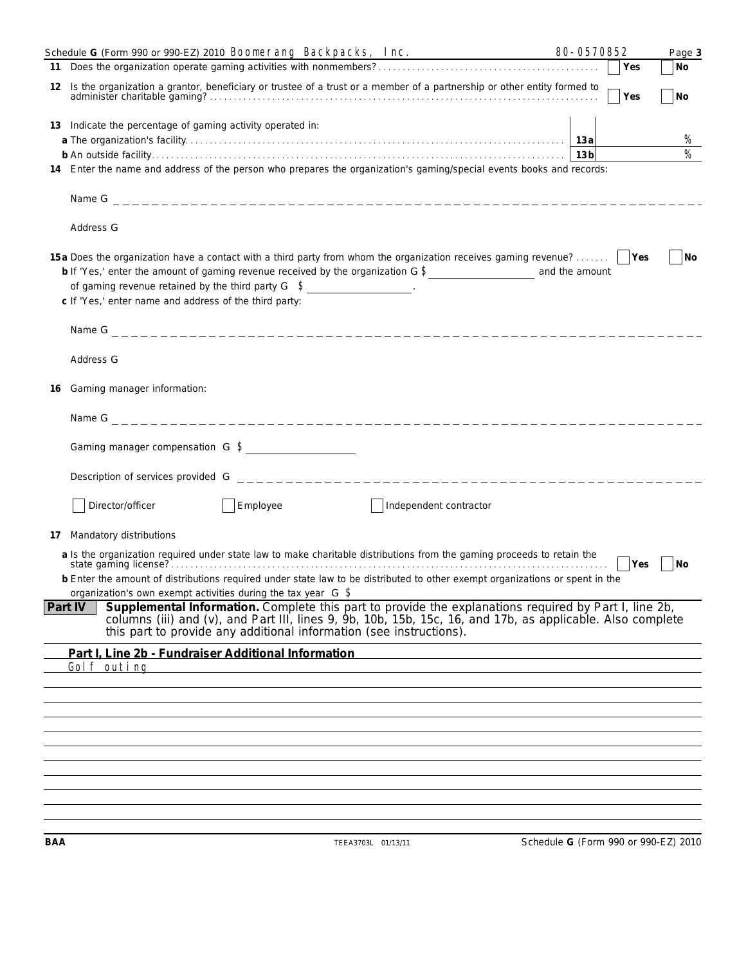|    | Schedule G (Form 990 or 990-EZ) 2010 <b>Boonerang Backpacks, Inc.</b>                                                                                                                                                                                                                              | 80-0570852 |            | Page 3         |
|----|----------------------------------------------------------------------------------------------------------------------------------------------------------------------------------------------------------------------------------------------------------------------------------------------------|------------|------------|----------------|
|    |                                                                                                                                                                                                                                                                                                    |            | <b>Yes</b> | <b>No</b>      |
| 12 | Is the organization a grantor, beneficiary or trustee of a trust or a member of a partnership or other entity formed to                                                                                                                                                                            |            | Yes        | <b>No</b>      |
|    | 13 Indicate the percentage of gaming activity operated in:                                                                                                                                                                                                                                         |            |            |                |
|    |                                                                                                                                                                                                                                                                                                    |            |            | %              |
|    |                                                                                                                                                                                                                                                                                                    |            |            | $\%$           |
|    | 14 Enter the name and address of the person who prepares the organization's gaming/special events books and records:                                                                                                                                                                               |            |            |                |
|    |                                                                                                                                                                                                                                                                                                    |            |            |                |
|    | Address G                                                                                                                                                                                                                                                                                          |            |            |                |
|    | 15 a Does the organization have a contact with a third party from whom the organization receives gaming revenue?<br>of gaming revenue retained by the third party $G \quad S$ ________________.<br>c If 'Yes,' enter name and address of the third party:                                          |            |            | N <sub>O</sub> |
|    |                                                                                                                                                                                                                                                                                                    |            |            |                |
|    | Address G                                                                                                                                                                                                                                                                                          |            |            |                |
| 16 | Gaming manager information:                                                                                                                                                                                                                                                                        |            |            |                |
|    |                                                                                                                                                                                                                                                                                                    |            |            |                |
|    | Gaming manager compensation G S                                                                                                                                                                                                                                                                    |            |            |                |
|    |                                                                                                                                                                                                                                                                                                    |            |            |                |
|    | Employee<br>Director/officer<br>Independent contractor                                                                                                                                                                                                                                             |            |            |                |
| 17 | Mandatory distributions                                                                                                                                                                                                                                                                            |            |            |                |
|    | a Is the organization required under state law to make charitable distributions from the gaming proceeds to retain the<br>b Enter the amount of distributions required under state law to be distributed to other exempt organizations or spent in the                                             |            | <b>Yes</b> | <b>No</b>      |
|    | organization's own exempt activities during the tax year $G \$                                                                                                                                                                                                                                     |            |            |                |
|    | Supplemental Information. Complete this part to provide the explanations required by Part I, line 2b, columns (iii) and (v), and Part III, lines 9, 9b, 10b, 15b, 15c, 16, and 17b, as applicable. Also complete<br>Part IV<br>this part to provide any additional information (see instructions). |            |            |                |
|    | Part I. Line 2b - Fundraiser Additional Information                                                                                                                                                                                                                                                |            |            |                |
|    | Golf outing                                                                                                                                                                                                                                                                                        |            |            |                |
|    |                                                                                                                                                                                                                                                                                                    |            |            |                |
|    |                                                                                                                                                                                                                                                                                                    |            |            |                |
|    |                                                                                                                                                                                                                                                                                                    |            |            |                |
|    |                                                                                                                                                                                                                                                                                                    |            |            |                |
|    |                                                                                                                                                                                                                                                                                                    |            |            |                |
|    |                                                                                                                                                                                                                                                                                                    |            |            |                |
|    |                                                                                                                                                                                                                                                                                                    |            |            |                |
|    |                                                                                                                                                                                                                                                                                                    |            |            |                |
|    |                                                                                                                                                                                                                                                                                                    |            |            |                |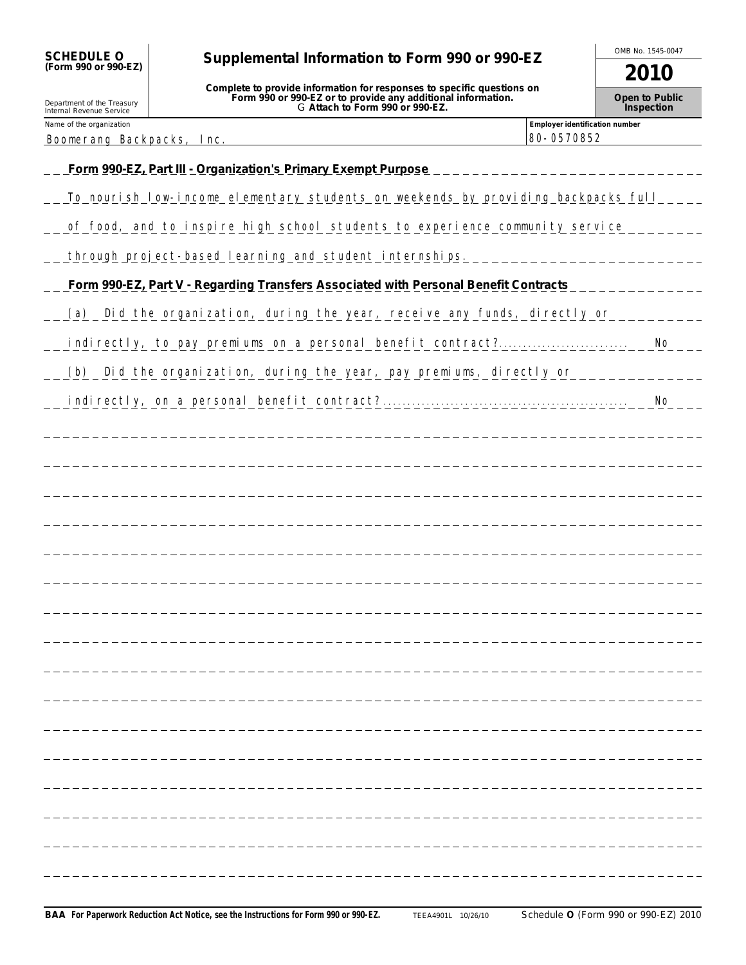| <b>SCHEDULE O</b>                                            | Supplemental Information to Form 990 or 990-EZ                                                                                                                            |                                              | OMB No. 1545-0047            |
|--------------------------------------------------------------|---------------------------------------------------------------------------------------------------------------------------------------------------------------------------|----------------------------------------------|------------------------------|
| (Form 990 or 990-EZ)                                         |                                                                                                                                                                           |                                              | 2010                         |
| Department of the Treasury<br>Internal Revenue Service       | Complete to provide information for responses to specific questions on<br>Form 990 or 990-EZ or to provide any additional information.<br>G Attach to Form 990 or 990-EZ. |                                              | Open to Public<br>Inspection |
| Name of the organization<br><b>Boonerang Backpacks, Inc.</b> |                                                                                                                                                                           | Employer identification number<br>80-0570852 |                              |
|                                                              | Form 990-EZ, Part III - Organization's Primary Exempt Purpose                                                                                                             |                                              |                              |
|                                                              | To nourish low incone elementary students on weekends by providing backpacks full                                                                                         |                                              |                              |
|                                                              |                                                                                                                                                                           |                                              |                              |
|                                                              | of food, and to inspire high school students to experience community service                                                                                              |                                              |                              |
|                                                              | through project-based learning and student internships.                                                                                                                   |                                              |                              |
|                                                              | Form 990-EZ, Part V - Regarding Transfers Associated with Personal Benefit Contracts                                                                                      |                                              |                              |
|                                                              | (a) Did the organization, during the year, receive any funds, directly or                                                                                                 |                                              |                              |
|                                                              |                                                                                                                                                                           |                                              | <b>No</b>                    |
|                                                              | (b) Did the organization, during the year, pay preniums, directly or                                                                                                      |                                              |                              |
|                                                              | indirectly, on a personal benefit contract?                                                                                                                               |                                              | <b>No</b>                    |
|                                                              |                                                                                                                                                                           |                                              |                              |
|                                                              |                                                                                                                                                                           |                                              |                              |
|                                                              |                                                                                                                                                                           |                                              |                              |
|                                                              |                                                                                                                                                                           |                                              |                              |
|                                                              |                                                                                                                                                                           |                                              |                              |
|                                                              |                                                                                                                                                                           |                                              |                              |
|                                                              |                                                                                                                                                                           |                                              |                              |
|                                                              |                                                                                                                                                                           |                                              |                              |
|                                                              |                                                                                                                                                                           |                                              |                              |
|                                                              |                                                                                                                                                                           |                                              |                              |
|                                                              |                                                                                                                                                                           |                                              |                              |
|                                                              |                                                                                                                                                                           |                                              |                              |
|                                                              |                                                                                                                                                                           |                                              |                              |
|                                                              |                                                                                                                                                                           |                                              |                              |
|                                                              |                                                                                                                                                                           |                                              |                              |
|                                                              |                                                                                                                                                                           |                                              |                              |
|                                                              |                                                                                                                                                                           |                                              |                              |
|                                                              |                                                                                                                                                                           |                                              |                              |